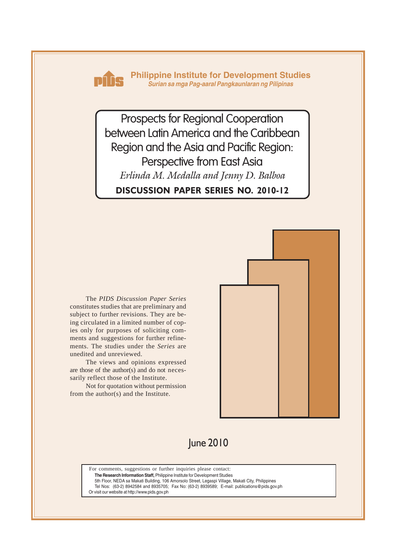

**Philippine Institute for Development Studies** *Surian sa mga Pag-aaral Pangkaunlaran ng Pilipinas*

**DISCUSSION PAPER SERIES NO. 2010-12** Prospects for Regional Cooperation between Latin America and the Caribbean Region and the Asia and Pacific Region: Perspective from East Asia *Erlinda M. Medalla and Jenny D. Balboa*

The *PIDS Discussion Paper Series* constitutes studies that are preliminary and subject to further revisions. They are being circulated in a limited number of copies only for purposes of soliciting comments and suggestions for further refinements. The studies under the *Series* are unedited and unreviewed.

The views and opinions expressed are those of the author(s) and do not necessarily reflect those of the Institute.

Not for quotation without permission from the author(s) and the Institute.



## June 2010

For comments, suggestions or further inquiries please contact: **The Research Information Staff,** Philippine Institute for Development Studies 5th Floor, NEDA sa Makati Building, 106 Amorsolo Street, Legaspi Village, Makati City, Philippines Tel Nos: (63-2) 8942584 and 8935705; Fax No: (63-2) 8939589; E-mail: publications@pids.gov.ph

Or visit our website at http://www.pids.gov.ph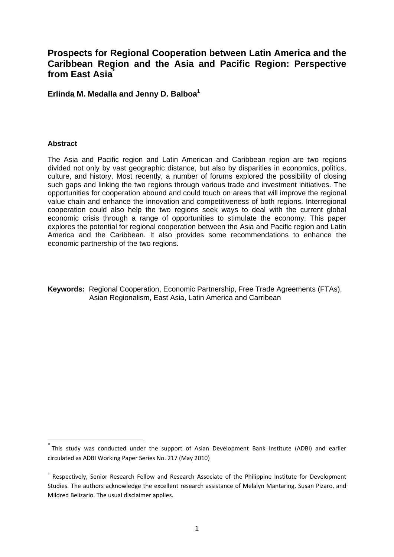## **Prospects for Regional Cooperation between Latin America and the Caribbean Region and the Asia and Pacific Region: Perspective from East Asia\***

**Erlinda M. Medalla and Jenny D. Balboa1**

#### **Abstract**

1

The Asia and Pacific region and Latin American and Caribbean region are two regions divided not only by vast geographic distance, but also by disparities in economics, politics, culture, and history. Most recently, a number of forums explored the possibility of closing such gaps and linking the two regions through various trade and investment initiatives. The opportunities for cooperation abound and could touch on areas that will improve the regional value chain and enhance the innovation and competitiveness of both regions. Interregional cooperation could also help the two regions seek ways to deal with the current global economic crisis through a range of opportunities to stimulate the economy. This paper explores the potential for regional cooperation between the Asia and Pacific region and Latin America and the Caribbean. It also provides some recommendations to enhance the economic partnership of the two regions.

**Keywords:** Regional Cooperation, Economic Partnership, Free Trade Agreements (FTAs), Asian Regionalism, East Asia, Latin America and Carribean

<sup>\*</sup> This study was conducted under the support of Asian Development Bank Institute (ADBI) and earlier circulated as ADBI Working Paper Series No. 217 (May 2010)

 $1$  Respectively, Senior Research Fellow and Research Associate of the Philippine Institute for Development Studies. The authors acknowledge the excellent research assistance of Melalyn Mantaring, Susan Pizaro, and Mildred Belizario. The usual disclaimer applies.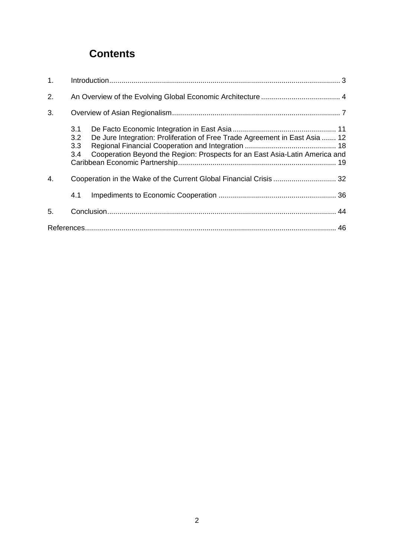# **Contents**

| 1. |                                                                                                                                                                                        |  |
|----|----------------------------------------------------------------------------------------------------------------------------------------------------------------------------------------|--|
| 2. |                                                                                                                                                                                        |  |
| 3. |                                                                                                                                                                                        |  |
|    | 3.1<br>3.2<br>De Jure Integration: Proliferation of Free Trade Agreement in East Asia  12<br>3.3<br>Cooperation Beyond the Region: Prospects for an East Asia-Latin America and<br>3.4 |  |
| 4. | Cooperation in the Wake of the Current Global Financial Crisis  32                                                                                                                     |  |
|    | 4.1                                                                                                                                                                                    |  |
| 5. |                                                                                                                                                                                        |  |
|    |                                                                                                                                                                                        |  |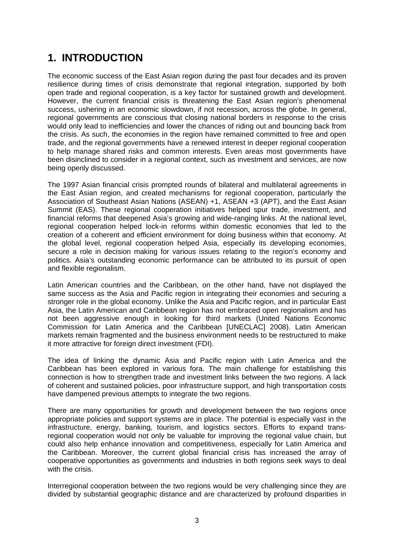# **1. INTRODUCTION**

The economic success of the East Asian region during the past four decades and its proven resilience during times of crisis demonstrate that regional integration, supported by both open trade and regional cooperation, is a key factor for sustained growth and development. However, the current financial crisis is threatening the East Asian region's phenomenal success, ushering in an economic slowdown, if not recession, across the globe. In general, regional governments are conscious that closing national borders in response to the crisis would only lead to inefficiencies and lower the chances of riding out and bouncing back from the crisis. As such, the economies in the region have remained committed to free and open trade, and the regional governments have a renewed interest in deeper regional cooperation to help manage shared risks and common interests. Even areas most governments have been disinclined to consider in a regional context, such as investment and services, are now being openly discussed.

The 1997 Asian financial crisis prompted rounds of bilateral and multilateral agreements in the East Asian region, and created mechanisms for regional cooperation, particularly the Association of Southeast Asian Nations (ASEAN) +1, ASEAN +3 (APT), and the East Asian Summit (EAS). These regional cooperation initiatives helped spur trade, investment, and financial reforms that deepened Asia's growing and wide-ranging links. At the national level, regional cooperation helped lock-in reforms within domestic economies that led to the creation of a coherent and efficient environment for doing business within that economy. At the global level, regional cooperation helped Asia, especially its developing economies, secure a role in decision making for various issues relating to the region's economy and politics. Asia's outstanding economic performance can be attributed to its pursuit of open and flexible regionalism.

Latin American countries and the Caribbean, on the other hand, have not displayed the same success as the Asia and Pacific region in integrating their economies and securing a stronger role in the global economy. Unlike the Asia and Pacific region, and in particular East Asia, the Latin American and Caribbean region has not embraced open regionalism and has not been aggressive enough in looking for third markets (United Nations Economic Commission for Latin America and the Caribbean [UNECLAC] 2008). Latin American markets remain fragmented and the business environment needs to be restructured to make it more attractive for foreign direct investment (FDI).

The idea of linking the dynamic Asia and Pacific region with Latin America and the Caribbean has been explored in various fora. The main challenge for establishing this connection is how to strengthen trade and investment links between the two regions. A lack of coherent and sustained policies, poor infrastructure support, and high transportation costs have dampened previous attempts to integrate the two regions.

There are many opportunities for growth and development between the two regions once appropriate policies and support systems are in place. The potential is especially vast in the infrastructure, energy, banking, tourism, and logistics sectors. Efforts to expand transregional cooperation would not only be valuable for improving the regional value chain, but could also help enhance innovation and competitiveness, especially for Latin America and the Caribbean. Moreover, the current global financial crisis has increased the array of cooperative opportunities as governments and industries in both regions seek ways to deal with the crisis.

Interregional cooperation between the two regions would be very challenging since they are divided by substantial geographic distance and are characterized by profound disparities in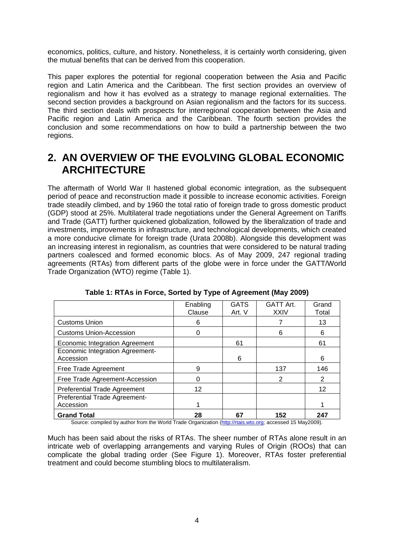economics, politics, culture, and history. Nonetheless, it is certainly worth considering, given the mutual benefits that can be derived from this cooperation.

This paper explores the potential for regional cooperation between the Asia and Pacific region and Latin America and the Caribbean. The first section provides an overview of regionalism and how it has evolved as a strategy to manage regional externalities. The second section provides a background on Asian regionalism and the factors for its success. The third section deals with prospects for interregional cooperation between the Asia and Pacific region and Latin America and the Caribbean. The fourth section provides the conclusion and some recommendations on how to build a partnership between the two regions.

## **2. AN OVERVIEW OF THE EVOLVING GLOBAL ECONOMIC ARCHITECTURE**

The aftermath of World War II hastened global economic integration, as the subsequent period of peace and reconstruction made it possible to increase economic activities. Foreign trade steadily climbed, and by 1960 the total ratio of foreign trade to gross domestic product (GDP) stood at 25%. Multilateral trade negotiations under the General Agreement on Tariffs and Trade (GATT) further quickened globalization, followed by the liberalization of trade and investments, improvements in infrastructure, and technological developments, which created a more conducive climate for foreign trade (Urata 2008b). Alongside this development was an increasing interest in regionalism, as countries that were considered to be natural trading partners coalesced and formed economic blocs. As of May 2009, 247 regional trading agreements (RTAs) from different parts of the globe were in force under the GATT/World Trade Organization (WTO) regime (Table 1).

|                                                       | Enabling<br>Clause | <b>GATS</b><br>Art. V                        | <b>GATT Art.</b><br><b>XXIV</b> | Grand<br>Total |
|-------------------------------------------------------|--------------------|----------------------------------------------|---------------------------------|----------------|
| <b>Customs Union</b>                                  | 6                  |                                              |                                 | 13             |
| <b>Customs Union-Accession</b>                        | O                  |                                              | 6                               | 6              |
| <b>Economic Integration Agreement</b>                 |                    | 61                                           |                                 | 61             |
| Economic Integration Agreement-<br>Accession          |                    | 6                                            |                                 | 6              |
| Free Trade Agreement                                  | 9                  |                                              | 137                             | 146            |
| Free Trade Agreement-Accession                        |                    |                                              | 2                               | 2              |
| <b>Preferential Trade Agreement</b>                   | 12                 |                                              |                                 | 12             |
| Preferential Trade Agreement-                         |                    |                                              |                                 |                |
| Accession                                             |                    |                                              |                                 |                |
| <b>Grand Total</b><br><br>$\sim$ $\sim$<br>$\epsilon$ | 28                 | 67<br>$\mathbf{a}$ . The set of $\mathbf{a}$ | 152                             | 247            |

**Table 1: RTAs in Force, Sorted by Type of Agreement (May 2009)** 

Source: compiled by author from the World Trade Organization (http://rtais.wto.org; accessed 15 May2009).

Much has been said about the risks of RTAs. The sheer number of RTAs alone result in an intricate web of overlapping arrangements and varying Rules of Origin (ROOs) that can complicate the global trading order (See Figure 1). Moreover, RTAs foster preferential treatment and could become stumbling blocs to multilateralism.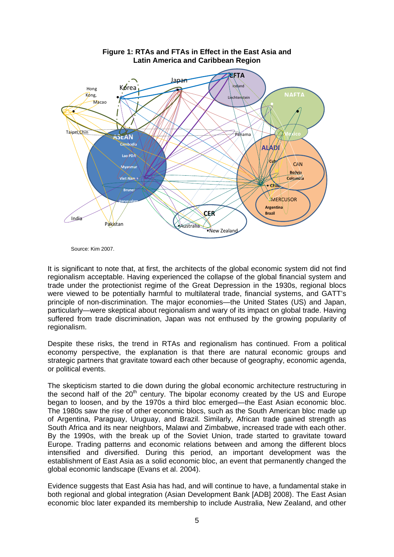

Source: Kim 2007.

It is significant to note that, at first, the architects of the global economic system did not find regionalism acceptable. Having experienced the collapse of the global financial system and trade under the protectionist regime of the Great Depression in the 1930s, regional blocs were viewed to be potentially harmful to multilateral trade, financial systems, and GATT's principle of non-discrimination. The major economies—the United States (US) and Japan, particularly—were skeptical about regionalism and wary of its impact on global trade. Having suffered from trade discrimination, Japan was not enthused by the growing popularity of regionalism.

Despite these risks, the trend in RTAs and regionalism has continued. From a political economy perspective, the explanation is that there are natural economic groups and strategic partners that gravitate toward each other because of geography, economic agenda, or political events.

The skepticism started to die down during the global economic architecture restructuring in the second half of the  $20<sup>th</sup>$  century. The bipolar economy created by the US and Europe began to loosen, and by the 1970s a third bloc emerged—the East Asian economic bloc. The 1980s saw the rise of other economic blocs, such as the South American bloc made up of Argentina, Paraguay, Uruguay, and Brazil. Similarly, African trade gained strength as South Africa and its near neighbors, Malawi and Zimbabwe, increased trade with each other. By the 1990s, with the break up of the Soviet Union, trade started to gravitate toward Europe. Trading patterns and economic relations between and among the different blocs intensified and diversified. During this period, an important development was the establishment of East Asia as a solid economic bloc, an event that permanently changed the global economic landscape (Evans et al. 2004).

Evidence suggests that East Asia has had, and will continue to have, a fundamental stake in both regional and global integration (Asian Development Bank [ADB] 2008). The East Asian economic bloc later expanded its membership to include Australia, New Zealand, and other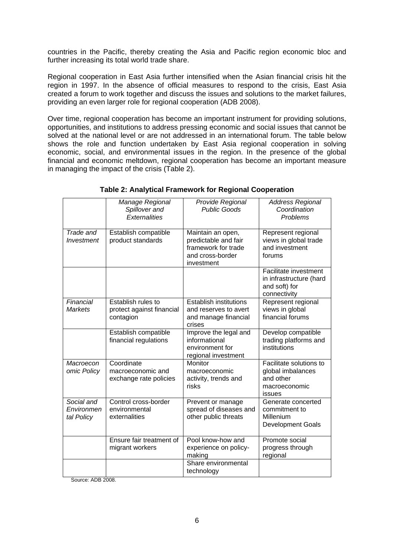countries in the Pacific, thereby creating the Asia and Pacific region economic bloc and further increasing its total world trade share.

Regional cooperation in East Asia further intensified when the Asian financial crisis hit the region in 1997. In the absence of official measures to respond to the crisis, East Asia created a forum to work together and discuss the issues and solutions to the market failures, providing an even larger role for regional cooperation (ADB 2008).

Over time, regional cooperation has become an important instrument for providing solutions, opportunities, and institutions to address pressing economic and social issues that cannot be solved at the national level or are not addressed in an international forum. The table below shows the role and function undertaken by East Asia regional cooperation in solving economic, social, and environmental issues in the region. In the presence of the global financial and economic meltdown, regional cooperation has become an important measure in managing the impact of the crisis (Table 2).

|                                        | Manage Regional<br>Spillover and<br><b>Externalities</b>     | Provide Regional<br><b>Public Goods</b>                                                            | <b>Address Regional</b><br>Coordination<br>Problems                                  |
|----------------------------------------|--------------------------------------------------------------|----------------------------------------------------------------------------------------------------|--------------------------------------------------------------------------------------|
| Trade and<br>Investment                | Establish compatible<br>product standards                    | Maintain an open,<br>predictable and fair<br>framework for trade<br>and cross-border<br>investment | Represent regional<br>views in global trade<br>and investment<br>forums              |
|                                        |                                                              |                                                                                                    | Facilitate investment<br>in infrastructure (hard<br>and soft) for<br>connectivity    |
| Financial<br><b>Markets</b>            | Establish rules to<br>protect against financial<br>contagion | <b>Establish institutions</b><br>and reserves to avert<br>and manage financial<br>crises           | Represent regional<br>views in global<br>financial forums                            |
|                                        | Establish compatible<br>financial regulations                | Improve the legal and<br>informational<br>environment for<br>regional investment                   | Develop compatible<br>trading platforms and<br>institutions                          |
| Macroecon<br>omic Policy               | Coordinate<br>macroeconomic and<br>exchange rate policies    | Monitor<br>macroeconomic<br>activity, trends and<br>risks                                          | Facilitate solutions to<br>global imbalances<br>and other<br>macroeconomic<br>issues |
| Social and<br>Environmen<br>tal Policy | Control cross-border<br>environmental<br>externalities       | Prevent or manage<br>spread of diseases and<br>other public threats                                | Generate concerted<br>commitment to<br>Millenium<br><b>Development Goals</b>         |
|                                        | Ensure fair treatment of<br>migrant workers                  | Pool know-how and<br>experience on policy-<br>making                                               | Promote social<br>progress through<br>regional                                       |
|                                        |                                                              | Share environmental<br>technology                                                                  |                                                                                      |

#### **Table 2: Analytical Framework for Regional Cooperation**

Source: ADB 2008.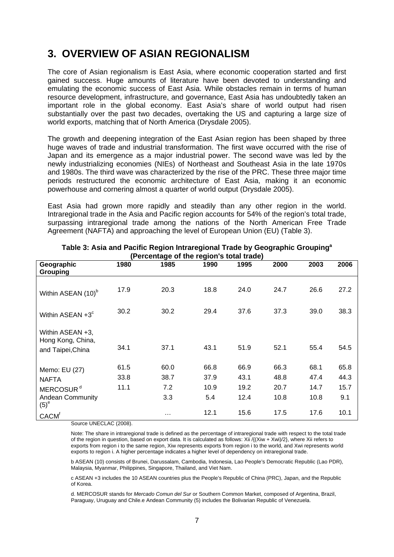## **3. OVERVIEW OF ASIAN REGIONALISM**

The core of Asian regionalism is East Asia, where economic cooperation started and first gained success. Huge amounts of literature have been devoted to understanding and emulating the economic success of East Asia. While obstacles remain in terms of human resource development, infrastructure, and governance, East Asia has undoubtedly taken an important role in the global economy. East Asia's share of world output had risen substantially over the past two decades, overtaking the US and capturing a large size of world exports, matching that of North America (Drysdale 2005).

The growth and deepening integration of the East Asian region has been shaped by three huge waves of trade and industrial transformation. The first wave occurred with the rise of Japan and its emergence as a major industrial power. The second wave was led by the newly industrializing economies (NIEs) of Northeast and Southeast Asia in the late 1970s and 1980s. The third wave was characterized by the rise of the PRC. These three major time periods restructured the economic architecture of East Asia, making it an economic powerhouse and cornering almost a quarter of world output (Drysdale 2005).

East Asia had grown more rapidly and steadily than any other region in the world. Intraregional trade in the Asia and Pacific region accounts for 54% of the region's total trade, surpassing intraregional trade among the nations of the North American Free Trade Agreement (NAFTA) and approaching the level of European Union (EU) (Table 3).

| $\mu$ creditage of the region $s$ total trade)              |              |              |              |              |              |              |              |  |  |  |  |  |  |
|-------------------------------------------------------------|--------------|--------------|--------------|--------------|--------------|--------------|--------------|--|--|--|--|--|--|
| Geographic<br>Grouping                                      | 1980         | 1985         | 1990         | 1995         | 2000         | 2003         | 2006         |  |  |  |  |  |  |
| Within ASEAN (10) <sup>b</sup>                              | 17.9         | 20.3         | 18.8         | 24.0         | 24.7         | 26.6         | 27.2         |  |  |  |  |  |  |
| Within ASEAN $+3^{\circ}$                                   | 30.2         | 30.2         | 29.4         | 37.6         | 37.3         | 39.0         | 38.3         |  |  |  |  |  |  |
| Within ASEAN +3,<br>Hong Kong, China,<br>and Taipei, China  | 34.1         | 37.1         | 43.1         | 51.9         | 52.1         | 55.4         | 54.5         |  |  |  |  |  |  |
| Memo: EU (27)<br><b>NAFTA</b>                               | 61.5<br>33.8 | 60.0<br>38.7 | 66.8<br>37.9 | 66.9<br>43.1 | 66.3<br>48.8 | 68.1<br>47.4 | 65.8<br>44.3 |  |  |  |  |  |  |
| MERCOSUR <sup>d</sup><br><b>Andean Community</b><br>$(5)^e$ | 11.1         | 7.2<br>3.3   | 10.9<br>5.4  | 19.2<br>12.4 | 20.7<br>10.8 | 14.7<br>10.8 | 15.7<br>9.1  |  |  |  |  |  |  |
| <b>CACM<sup>f</sup></b>                                     |              | .            | 12.1         | 15.6         | 17.5         | 17.6         | 10.1         |  |  |  |  |  |  |

**Table 3: Asia and Pacific Region Intraregional Trade by Geographic Groupinga (Percentage of the region's total trade)** 

Source UNECLAC (2008).

Note: The share in intraregional trade is defined as the percentage of intraregional trade with respect to the total trade of the region in question, based on export data. It is calculated as follows: Xii / $\{Xiw + Xwi\}/2\}$ , where Xii refers to exports from region i to the same region, Xiw represents exports from region i to the world, and Xwi represents world exports to region i. A higher percentage indicates a higher level of dependency on intraregional trade.

b ASEAN (10) consists of Brunei, Darussalam, Cambodia, Indonesia, Lao People's Democratic Republic (Lao PDR), Malaysia, Myanmar, Philippines, Singapore, Thailand, and Viet Nam.

c ASEAN +3 includes the 10 ASEAN countries plus the People's Republic of China (PRC), Japan, and the Republic of Korea.

d. MERCOSUR stands for *Mercado Comun del Sur* or Southern Common Market, composed of Argentina, Brazil, Paraguay, Uruguay and Chile.e Andean Community (5) includes the Bolivarian Republic of Venezuela.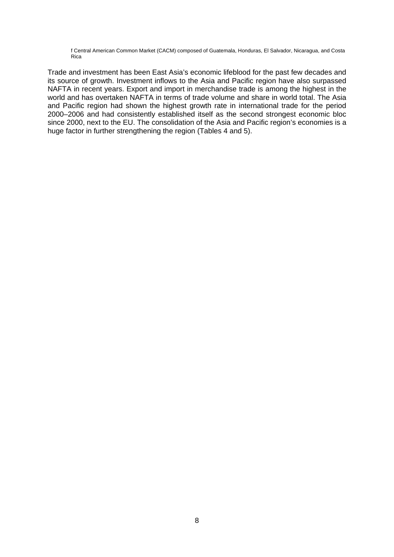f Central American Common Market (CACM) composed of Guatemala, Honduras, El Salvador, Nicaragua, and Costa Rica

Trade and investment has been East Asia's economic lifeblood for the past few decades and its source of growth. Investment inflows to the Asia and Pacific region have also surpassed NAFTA in recent years. Export and import in merchandise trade is among the highest in the world and has overtaken NAFTA in terms of trade volume and share in world total. The Asia and Pacific region had shown the highest growth rate in international trade for the period 2000–2006 and had consistently established itself as the second strongest economic bloc since 2000, next to the EU. The consolidation of the Asia and Pacific region's economies is a huge factor in further strengthening the region (Tables 4 and 5).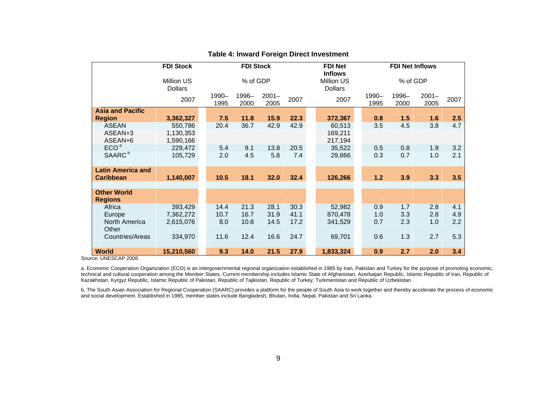|                          | <b>FDI Stock</b>             |               | <b>FDI Stock</b> |                  |      | <b>FDI Net</b><br><b>FDI Net Inflows</b><br><b>Inflows</b> |               |               |                  |      |  |  |
|--------------------------|------------------------------|---------------|------------------|------------------|------|------------------------------------------------------------|---------------|---------------|------------------|------|--|--|
|                          | Million US<br><b>Dollars</b> | % of GDP      |                  |                  |      | Million US<br><b>Dollars</b>                               |               |               | % of GDP         |      |  |  |
|                          | 2007                         | 1990-<br>1995 | 1996-<br>2000    | $2001 -$<br>2005 | 2007 | 2007                                                       | 1990-<br>1995 | 1996-<br>2000 | $2001 -$<br>2005 | 2007 |  |  |
| <b>Asia and Pacific</b>  |                              |               |                  |                  |      |                                                            |               |               |                  |      |  |  |
| <b>Region</b>            | 3,362,327                    | 7.5           | 11.8             | 15.9             | 22.3 | 372,367                                                    | 0.8           | 1.5           | 1.6              | 2.5  |  |  |
| <b>ASEAN</b>             | 550,786                      | 20.4          | 36.7             | 42.9             | 42.9 | 60,513                                                     | 3.5           | 4.5           | 3.8              | 4.7  |  |  |
| ASEAN+3                  | 1,130,353                    |               |                  |                  |      | 169,211                                                    |               |               |                  |      |  |  |
| ASEAN+6                  | 1,590,166                    |               |                  |                  |      | 217,194                                                    |               |               |                  |      |  |  |
| ECO <sup>a</sup>         | 229,472                      | 5.4           | 9.1              | 13.8             | 20.5 | 35,522                                                     | 0.5           | 0.8           | 1.9              | 3.2  |  |  |
| SAARC <sup>b</sup>       | 105,729                      | 2.0           | 4.5              | 5.8              | 7.4  | 29,866                                                     | 0.3           | 0.7           | 1.0              | 2.1  |  |  |
| <b>Latin America and</b> |                              |               |                  |                  |      |                                                            |               |               |                  |      |  |  |
| <b>Caribbean</b>         | 1,140,007                    | 10.5          | 18.1             | 32.0             | 32.4 | 126,266                                                    | $1.2$         | 3.9           | 3.3              | 3.5  |  |  |
| <b>Other World</b>       |                              |               |                  |                  |      |                                                            |               |               |                  |      |  |  |
| <b>Regions</b>           |                              |               |                  |                  |      |                                                            |               |               |                  |      |  |  |
| Africa                   | 393,429                      | 14.4          | 21.3             | 28.1             | 30.3 | 52,982                                                     | 0.9           | 1.7           | 2.8              | 4.1  |  |  |
| Europe                   | 7,362,272                    | 10.7          | 16.7             | 31.9             | 41.1 | 870,478                                                    | 1.0           | 3.3           | 2.8              | 4.9  |  |  |
| North America<br>Other   | 2,615,076                    | 8.0           | 10.8             | 14.5             | 17.2 | 341,529                                                    | 0.7           | 2.3           | 1.0              | 2.2  |  |  |
| Countries/Areas          | 334,970                      | 11.6          | 12.4             | 16.6             | 24.7 | 69,701                                                     | 0.6           | 1.3           | 2.7              | 5.3  |  |  |
| <b>World</b>             | 15,210,560                   | 9.3           | 14.0             | 21.5             | 27.9 | 1,833,324                                                  | 0.9           | 2.7           | 2.0              | 3.4  |  |  |

#### **Table 4: Inward Foreign Direct Investment**

Source: UNESCAP 2008.

a. Economic Cooperation Organization (ECO) is an intergovernmental regional organization established in 1985 by Iran, Pakistan and Turkey for the purpose of promoting economic, technical and cultural cooperation among the Member States. Current membership includes Islamic State of Afghanistan, Azerbaijan Republic, Islamic Republic of Iran, Republic of Kazakhstan, Kyrgyz Republic, Islamic Republic of Pakistan, Republic of Tajikistan, Republic of Turkey, Turkmenistan and Republic of Uzbekistan.

b. The South Asian Association for Regional Cooperation (SAARC) provides a platform for the people of South Asia to work together and thereby accelerate the process of economic and social development. Established in 1985, member states include Bangladesh, Bhutan, India, Nepal, Pakistan and Sri Lanka.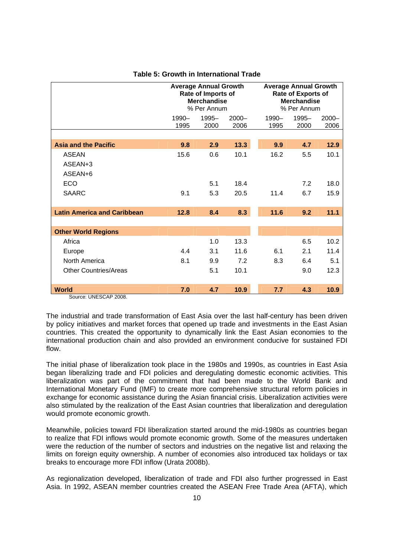|                                       |               | <b>Average Annual Growth</b><br>Rate of Imports of<br><b>Merchandise</b><br>% Per Annum |                  |               | <b>Average Annual Growth</b><br><b>Rate of Exports of</b><br><b>Merchandise</b><br>% Per Annum |                  |  |  |  |  |
|---------------------------------------|---------------|-----------------------------------------------------------------------------------------|------------------|---------------|------------------------------------------------------------------------------------------------|------------------|--|--|--|--|
|                                       | 1990-<br>1995 | 1995-<br>2000                                                                           | $2000 -$<br>2006 | 1990-<br>1995 | 1995-<br>2000                                                                                  | $2000 -$<br>2006 |  |  |  |  |
|                                       |               |                                                                                         |                  |               |                                                                                                |                  |  |  |  |  |
| <b>Asia and the Pacific</b>           | 9.8           | 2.9                                                                                     | 13.3             | 9.9           | 4.7                                                                                            | 12.9             |  |  |  |  |
| <b>ASEAN</b>                          | 15.6          | 0.6                                                                                     | 10.1             | 16.2          | 5.5                                                                                            | 10.1             |  |  |  |  |
| ASEAN+3                               |               |                                                                                         |                  |               |                                                                                                |                  |  |  |  |  |
| ASEAN+6                               |               |                                                                                         |                  |               |                                                                                                |                  |  |  |  |  |
| ECO                                   |               | 5.1                                                                                     | 18.4             |               | 7.2                                                                                            | 18.0             |  |  |  |  |
| <b>SAARC</b>                          | 9.1           | 5.3                                                                                     | 20.5             | 11.4          | 6.7                                                                                            | 15.9             |  |  |  |  |
| <b>Latin America and Caribbean</b>    | 12.8          | 8.4                                                                                     | 8.3              | 11.6          | 9.2                                                                                            | 11.1             |  |  |  |  |
|                                       |               |                                                                                         |                  |               |                                                                                                |                  |  |  |  |  |
| <b>Other World Regions</b>            |               |                                                                                         |                  |               |                                                                                                |                  |  |  |  |  |
| Africa                                |               | 1.0                                                                                     | 13.3             |               | 6.5                                                                                            | 10.2             |  |  |  |  |
| Europe                                | 4.4           | 3.1                                                                                     | 11.6             | 6.1           | 2.1                                                                                            | 11.4             |  |  |  |  |
| North America                         | 8.1           | 9.9                                                                                     | 7.2              | 8.3           | 6.4                                                                                            | 5.1              |  |  |  |  |
| <b>Other Countries/Areas</b>          |               | 5.1                                                                                     | 10.1             |               | 9.0                                                                                            | 12.3             |  |  |  |  |
|                                       |               |                                                                                         |                  |               |                                                                                                |                  |  |  |  |  |
| <b>World</b><br>Source: UNESCAP 2008. | 7.0           | 4.7                                                                                     | 10.9             | 7.7           | 4.3                                                                                            | 10.9             |  |  |  |  |

#### **Table 5: Growth in International Trade**

The industrial and trade transformation of East Asia over the last half-century has been driven by policy initiatives and market forces that opened up trade and investments in the East Asian countries. This created the opportunity to dynamically link the East Asian economies to the international production chain and also provided an environment conducive for sustained FDI flow.

The initial phase of liberalization took place in the 1980s and 1990s, as countries in East Asia began liberalizing trade and FDI policies and deregulating domestic economic activities. This liberalization was part of the commitment that had been made to the World Bank and International Monetary Fund (IMF) to create more comprehensive structural reform policies in exchange for economic assistance during the Asian financial crisis. Liberalization activities were also stimulated by the realization of the East Asian countries that liberalization and deregulation would promote economic growth.

Meanwhile, policies toward FDI liberalization started around the mid-1980s as countries began to realize that FDI inflows would promote economic growth. Some of the measures undertaken were the reduction of the number of sectors and industries on the negative list and relaxing the limits on foreign equity ownership. A number of economies also introduced tax holidays or tax breaks to encourage more FDI inflow (Urata 2008b).

As regionalization developed, liberalization of trade and FDI also further progressed in East Asia. In 1992, ASEAN member countries created the ASEAN Free Trade Area (AFTA), which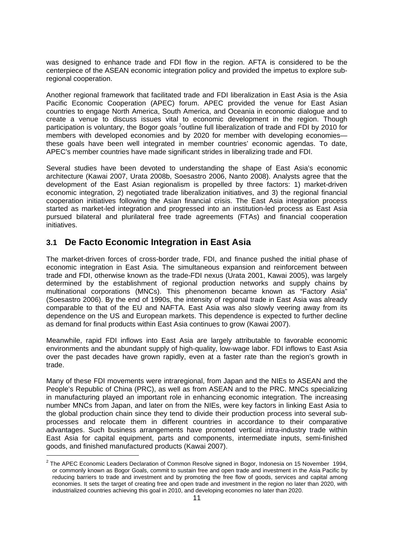was designed to enhance trade and FDI flow in the region. AFTA is considered to be the centerpiece of the ASEAN economic integration policy and provided the impetus to explore subregional cooperation.

Another regional framework that facilitated trade and FDI liberalization in East Asia is the Asia Pacific Economic Cooperation (APEC) forum. APEC provided the venue for East Asian countries to engage North America, South America, and Oceania in economic dialogue and to create a venue to discuss issues vital to economic development in the region. Though participation is voluntary, the Bogor goals <sup>2</sup>outline full liberalization of trade and FDI by 2010 for members with developed economies and by 2020 for member with developing economies these goals have been well integrated in member countries' economic agendas. To date, APEC's member countries have made significant strides in liberalizing trade and FDI.

Several studies have been devoted to understanding the shape of East Asia's economic architecture (Kawai 2007, Urata 2008b, Soesastro 2006, Nanto 2008). Analysts agree that the development of the East Asian regionalism is propelled by three factors: 1) market-driven economic integration, 2) negotiated trade liberalization initiatives, and 3) the regional financial cooperation initiatives following the Asian financial crisis. The East Asia integration process started as market-led integration and progressed into an institution-led process as East Asia pursued bilateral and plurilateral free trade agreements (FTAs) and financial cooperation initiatives.

## **3.1 De Facto Economic Integration in East Asia**

-

The market-driven forces of cross-border trade, FDI, and finance pushed the initial phase of economic integration in East Asia. The simultaneous expansion and reinforcement between trade and FDI, otherwise known as the trade-FDI nexus (Urata 2001, Kawai 2005), was largely determined by the establishment of regional production networks and supply chains by multinational corporations (MNCs). This phenomenon became known as "Factory Asia" (Soesastro 2006). By the end of 1990s, the intensity of regional trade in East Asia was already comparable to that of the EU and NAFTA. East Asia was also slowly veering away from its dependence on the US and European markets. This dependence is expected to further decline as demand for final products within East Asia continues to grow (Kawai 2007).

Meanwhile, rapid FDI inflows into East Asia are largely attributable to favorable economic environments and the abundant supply of high-quality, low-wage labor. FDI inflows to East Asia over the past decades have grown rapidly, even at a faster rate than the region's growth in trade.

Many of these FDI movements were intraregional, from Japan and the NIEs to ASEAN and the People's Republic of China (PRC), as well as from ASEAN and to the PRC. MNCs specializing in manufacturing played an important role in enhancing economic integration. The increasing number MNCs from Japan, and later on from the NIEs, were key factors in linking East Asia to the global production chain since they tend to divide their production process into several subprocesses and relocate them in different countries in accordance to their comparative advantages. Such business arrangements have promoted vertical intra-industry trade within East Asia for capital equipment, parts and components, intermediate inputs, semi-finished goods, and finished manufactured products (Kawai 2007).

 $2$  The APEC Economic Leaders Declaration of Common Resolve signed in Bogor, Indonesia on 15 November 1994, or commonly known as Bogor Goals, commit to sustain free and open trade and investment in the Asia Pacific by reducing barriers to trade and investment and by promoting the free flow of goods, services and capital among economies. It sets the target of creating free and open trade and investment in the region no later than 2020, with industrialized countries achieving this goal in 2010, and developing economies no later than 2020.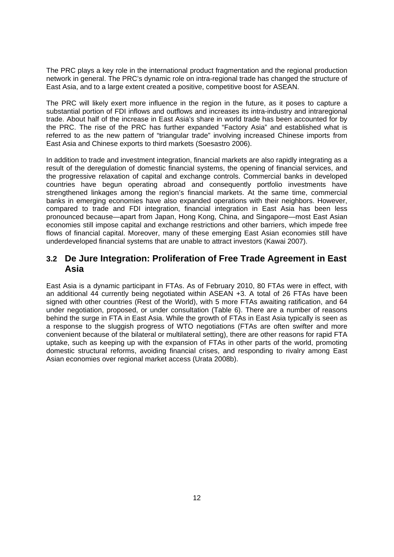The PRC plays a key role in the international product fragmentation and the regional production network in general. The PRC's dynamic role on intra-regional trade has changed the structure of East Asia, and to a large extent created a positive, competitive boost for ASEAN.

The PRC will likely exert more influence in the region in the future, as it poses to capture a substantial portion of FDI inflows and outflows and increases its intra-industry and intraregional trade. About half of the increase in East Asia's share in world trade has been accounted for by the PRC. The rise of the PRC has further expanded "Factory Asia" and established what is referred to as the new pattern of "triangular trade" involving increased Chinese imports from East Asia and Chinese exports to third markets (Soesastro 2006).

In addition to trade and investment integration, financial markets are also rapidly integrating as a result of the deregulation of domestic financial systems, the opening of financial services, and the progressive relaxation of capital and exchange controls. Commercial banks in developed countries have begun operating abroad and consequently portfolio investments have strengthened linkages among the region's financial markets. At the same time, commercial banks in emerging economies have also expanded operations with their neighbors. However, compared to trade and FDI integration, financial integration in East Asia has been less pronounced because—apart from Japan, Hong Kong, China, and Singapore—most East Asian economies still impose capital and exchange restrictions and other barriers, which impede free flows of financial capital. Moreover, many of these emerging East Asian economies still have underdeveloped financial systems that are unable to attract investors (Kawai 2007).

## **3.2 De Jure Integration: Proliferation of Free Trade Agreement in East Asia**

East Asia is a dynamic participant in FTAs. As of February 2010, 80 FTAs were in effect, with an additional 44 currently being negotiated within ASEAN +3. A total of 26 FTAs have been signed with other countries (Rest of the World), with 5 more FTAs awaiting ratification, and 64 under negotiation, proposed, or under consultation (Table 6). There are a number of reasons behind the surge in FTA in East Asia. While the growth of FTAs in East Asia typically is seen as a response to the sluggish progress of WTO negotiations (FTAs are often swifter and more convenient because of the bilateral or multilateral setting), there are other reasons for rapid FTA uptake, such as keeping up with the expansion of FTAs in other parts of the world, promoting domestic structural reforms, avoiding financial crises, and responding to rivalry among East Asian economies over regional market access (Urata 2008b).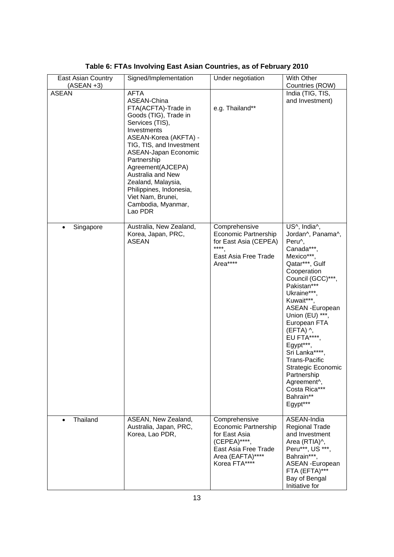| East Asian Country<br>$(ASEAN +3)$ | Signed/Implementation                                                                                                                                                                                                                                                                                                                                     | Under negotiation                                                                                                                          | With Other<br>Countries (ROW)                                                                                                                                                                                                                                                                                                                                                                                                   |
|------------------------------------|-----------------------------------------------------------------------------------------------------------------------------------------------------------------------------------------------------------------------------------------------------------------------------------------------------------------------------------------------------------|--------------------------------------------------------------------------------------------------------------------------------------------|---------------------------------------------------------------------------------------------------------------------------------------------------------------------------------------------------------------------------------------------------------------------------------------------------------------------------------------------------------------------------------------------------------------------------------|
| <b>ASEAN</b>                       | <b>AFTA</b><br>ASEAN-China<br>FTA(ACFTA)-Trade in<br>Goods (TIG), Trade in<br>Services (TIS),<br>Investments<br>ASEAN-Korea (AKFTA) -<br>TIG, TIS, and Investment<br>ASEAN-Japan Economic<br>Partnership<br>Agreement(AJCEPA)<br>Australia and New<br>Zealand, Malaysia,<br>Philippines, Indonesia,<br>Viet Nam, Brunei,<br>Cambodia, Myanmar,<br>Lao PDR | e.g. Thailand**                                                                                                                            | India (TIG, TIS,<br>and Investment)                                                                                                                                                                                                                                                                                                                                                                                             |
| Singapore<br>$\bullet$             | Australia, New Zealand,<br>Korea, Japan, PRC,<br><b>ASEAN</b>                                                                                                                                                                                                                                                                                             | Comprehensive<br>Economic Partnership<br>for East Asia (CEPEA)<br>$****$<br>East Asia Free Trade<br>Area****                               | US^, India^,<br>Jordan^, Panama^,<br>Peru^,<br>Canada***,<br>Mexico***.<br>Qatar***, Gulf<br>Cooperation<br>Council (GCC)***,<br>Pakistan***<br>Ukraine***,<br>Kuwait***,<br><b>ASEAN - European</b><br>Union (EU) ***,<br>European FTA<br>$(EFTA)$ ^,<br>EU FTA****,<br>Egypt***,<br>Sri Lanka****<br>Trans-Pacific<br>Strategic Economic<br>Partnership<br>Agreement <sup>^</sup> ,<br>Costa Rica***<br>Bahrain**<br>Egypt*** |
| Thailand                           | ASEAN, New Zealand,<br>Australia, Japan, PRC,<br>Korea, Lao PDR,                                                                                                                                                                                                                                                                                          | Comprehensive<br><b>Economic Partnership</b><br>for East Asia<br>(CEPEA)****,<br>East Asia Free Trade<br>Area (EAFTA)****<br>Korea FTA**** | ASEAN-India<br><b>Regional Trade</b><br>and Investment<br>Area (RTIA)^,<br>Peru***, US ***,<br>Bahrain***,<br>ASEAN - European<br>FTA (EFTA)***<br>Bay of Bengal<br>Initiative for                                                                                                                                                                                                                                              |

**Table 6: FTAs Involving East Asian Countries, as of February 2010**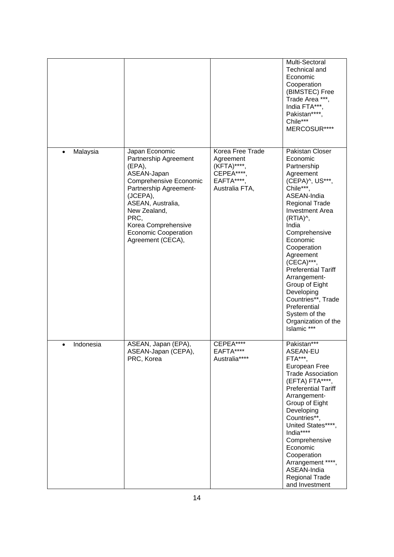|                        |                                                                                                                                                                                                                                                          |                                                                                           | Multi-Sectoral<br>Technical and<br>Economic<br>Cooperation<br>(BIMSTEC) Free<br>Trade Area ***,<br>India FTA***,<br>Pakistan****,<br>Chile***<br>MERCOSUR****                                                                                                                                                                                                                                                                    |
|------------------------|----------------------------------------------------------------------------------------------------------------------------------------------------------------------------------------------------------------------------------------------------------|-------------------------------------------------------------------------------------------|----------------------------------------------------------------------------------------------------------------------------------------------------------------------------------------------------------------------------------------------------------------------------------------------------------------------------------------------------------------------------------------------------------------------------------|
| Malaysia<br>$\bullet$  | Japan Economic<br>Partnership Agreement<br>(EPA),<br>ASEAN-Japan<br>Comprehensive Economic<br>Partnership Agreement-<br>(JCEPA),<br>ASEAN, Australia,<br>New Zealand,<br>PRC,<br>Korea Comprehensive<br><b>Economic Cooperation</b><br>Agreement (CECA), | Korea Free Trade<br>Agreement<br>(KFTA)****;<br>CEPEA****<br>EAFTA****,<br>Australia FTA, | Pakistan Closer<br>Economic<br>Partnership<br>Agreement<br>(CEPA)^, US***,<br>Chile***,<br>ASEAN-India<br><b>Regional Trade</b><br><b>Investment Area</b><br>(RTIA)^,<br>India<br>Comprehensive<br>Economic<br>Cooperation<br>Agreement<br>(CECA)***,<br><b>Preferential Tariff</b><br>Arrangement-<br>Group of Eight<br>Developing<br>Countries**, Trade<br>Preferential<br>System of the<br>Organization of the<br>Islamic *** |
| Indonesia<br>$\bullet$ | ASEAN, Japan (EPA),<br>ASEAN-Japan (CEPA),<br>PRC, Korea                                                                                                                                                                                                 | CEPEA****<br>EAFTA****<br>Australia****                                                   | Pakistan***<br>ASEAN-EU<br>FTA***<br>European Free<br><b>Trade Association</b><br>(EFTA) FTA****,<br><b>Preferential Tariff</b><br>Arrangement-<br>Group of Eight<br>Developing<br>Countries**,<br>United States****<br>India****<br>Comprehensive<br>Economic<br>Cooperation<br>Arrangement ****,<br>ASEAN-India<br><b>Regional Trade</b><br>and Investment                                                                     |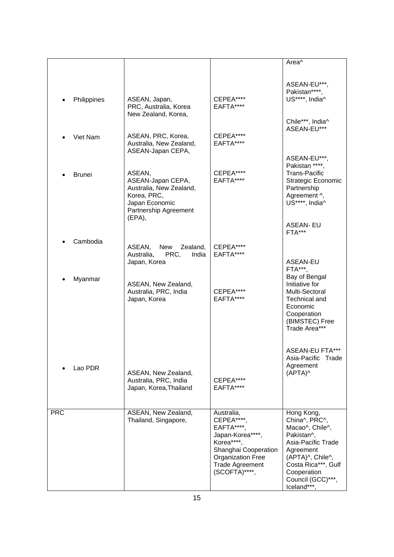|            |               |                                                                                                                  |                                                                                                                                                                       | Area <sup>^</sup>                                                                                                                                                                             |
|------------|---------------|------------------------------------------------------------------------------------------------------------------|-----------------------------------------------------------------------------------------------------------------------------------------------------------------------|-----------------------------------------------------------------------------------------------------------------------------------------------------------------------------------------------|
|            | Philippines   | ASEAN, Japan,<br>PRC, Australia, Korea<br>New Zealand, Korea,                                                    | CEPEA****<br>EAFTA****                                                                                                                                                | ASEAN-EU***,<br>Pakistan****,<br>US****, India^                                                                                                                                               |
|            | Viet Nam      | ASEAN, PRC, Korea,<br>Australia, New Zealand,<br>ASEAN-Japan CEPA,                                               | CEPEA****<br>EAFTA****                                                                                                                                                | Chile***, India^<br>ASEAN-EU***                                                                                                                                                               |
|            | <b>Brunei</b> | ASEAN,<br>ASEAN-Japan CEPA,<br>Australia, New Zealand,<br>Korea, PRC,<br>Japan Economic<br>Partnership Agreement | CEPEA****<br>EAFTA****                                                                                                                                                | ASEAN-EU***,<br>Pakistan ****,<br><b>Trans-Pacific</b><br><b>Strategic Economic</b><br>Partnership<br>Agreement ^,<br>US****, India <sup>^</sup>                                              |
|            |               | $(EPA)$ ,                                                                                                        |                                                                                                                                                                       | <b>ASEAN-EU</b><br>FTA***                                                                                                                                                                     |
|            | Cambodia      | ASEAN,<br>New<br>Zealand,<br>PRC,<br>Australia,<br>India<br>Japan, Korea                                         | CEPEA****<br>EAFTA****                                                                                                                                                | ASEAN-EU<br>FTA***,                                                                                                                                                                           |
|            | Myanmar       | ASEAN, New Zealand,<br>Australia, PRC, India<br>Japan, Korea                                                     | CEPEA****<br>EAFTA****                                                                                                                                                | Bay of Bengal<br>Initiative for<br>Multi-Sectoral<br>Technical and<br>Economic<br>Cooperation<br>(BIMSTEC) Free<br>Trade Area***                                                              |
|            | Lao PDR       | ASEAN, New Zealand,<br>Australia, PRC, India<br>Japan, Korea, Thailand                                           | CEPEA****<br>EAFTA****                                                                                                                                                | <b>ASEAN-EU FTA***</b><br>Trade<br>Asia-Pacific<br>Agreement<br>(APTA)^                                                                                                                       |
| <b>PRC</b> |               | ASEAN, New Zealand,<br>Thailand, Singapore,                                                                      | Australia,<br>CEPEA****<br>EAFTA****<br>Japan-Korea****,<br>Korea****.<br>Shanghai Cooperation<br><b>Organization Free</b><br><b>Trade Agreement</b><br>(SCOFTA)****, | Hong Kong,<br>China^, PRC^,<br>Macao^, Chile^,<br>Pakistan^.<br>Asia-Pacific Trade<br>Agreement<br>(APTA)^, Chile^,<br>Costa Rica***, Gulf<br>Cooperation<br>Council (GCC)***,<br>Iceland***, |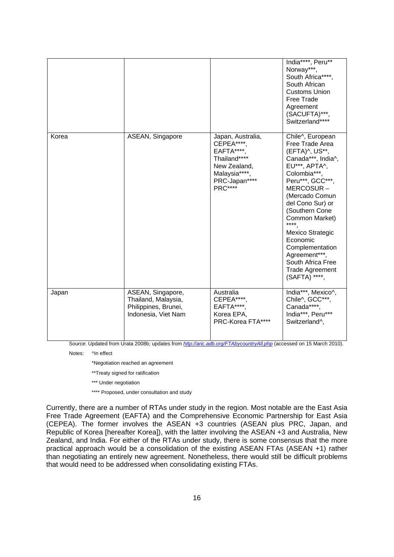|       |                                                                                         |                                                                                                                                         | India****, Peru**<br>Norway***,<br>South Africa****,<br>South African<br><b>Customs Union</b><br>Free Trade<br>Agreement<br>(SACUFTA)***,<br>Switzerland****                                                                                                                                                                                                                 |
|-------|-----------------------------------------------------------------------------------------|-----------------------------------------------------------------------------------------------------------------------------------------|------------------------------------------------------------------------------------------------------------------------------------------------------------------------------------------------------------------------------------------------------------------------------------------------------------------------------------------------------------------------------|
| Korea | ASEAN, Singapore                                                                        | Japan, Australia,<br><b>CEPEA****</b><br>EAFTA****,<br>Thailand****<br>New Zealand,<br>Malaysia****,<br>PRC-Japan****<br><b>PRC****</b> | Chile^, European<br>Free Trade Area<br>(EFTA)^, US**,<br>Canada***, India^,<br>EU***, APTA^,<br>Colombia***,<br>Peru***, GCC***,<br>MERCOSUR-<br>(Mercado Comun<br>del Cono Sur) or<br>(Southern Cone<br>Common Market)<br>$****$<br><b>Mexico Strategic</b><br>Economic<br>Complementation<br>Agreement***,<br>South Africa Free<br><b>Trade Agreement</b><br>(SAFTA) ****, |
| Japan | ASEAN, Singapore,<br>Thailand, Malaysia,<br>Philippines, Brunei,<br>Indonesia, Viet Nam | Australia<br>CEPEA****<br>EAFTA****,<br>Korea EPA,<br>PRC-Korea FTA****                                                                 | India***, Mexico^,<br>Chile^, GCC***,<br>Canada****,<br>India***, Peru***<br>Switzerland^,                                                                                                                                                                                                                                                                                   |

Source: Updated from Urata 2008b; updates from *http://aric.adb.org/FTAbycountryAll.php* (accessed on 15 March 2010).

Notes: ^In effect

\*Negotiation reached an agreement

\*\*Treaty signed for ratification

- \*\*\* Under negotiation
- \*\*\*\* Proposed, under consultation and study

Currently, there are a number of RTAs under study in the region. Most notable are the East Asia Free Trade Agreement (EAFTA) and the Comprehensive Economic Partnership for East Asia (CEPEA). The former involves the ASEAN +3 countries (ASEAN plus PRC, Japan, and Republic of Korea [hereafter Korea]), with the latter involving the ASEAN +3 and Australia, New Zealand, and India. For either of the RTAs under study, there is some consensus that the more practical approach would be a consolidation of the existing ASEAN FTAs (ASEAN +1) rather than negotiating an entirely new agreement. Nonetheless, there would still be difficult problems that would need to be addressed when consolidating existing FTAs.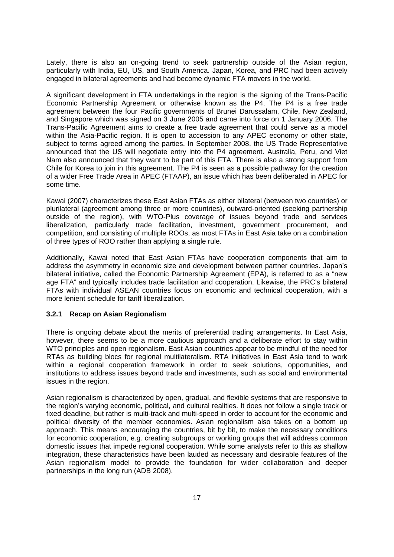Lately, there is also an on-going trend to seek partnership outside of the Asian region, particularly with India, EU, US, and South America. Japan, Korea, and PRC had been actively engaged in bilateral agreements and had become dynamic FTA movers in the world.

A significant development in FTA undertakings in the region is the signing of the Trans-Pacific Economic Partnership Agreement or otherwise known as the P4. The P4 is a free trade agreement between the four Pacific governments of Brunei Darussalam, Chile, New Zealand, and Singapore which was signed on 3 June 2005 and came into force on 1 January 2006. The Trans-Pacific Agreement aims to create a free trade agreement that could serve as a model within the Asia-Pacific region. It is open to accession to any APEC economy or other state. subject to terms agreed among the parties. In September 2008, the US Trade Representative announced that the US will negotiate entry into the P4 agreement. Australia, Peru, and Viet Nam also announced that they want to be part of this FTA. There is also a strong support from Chile for Korea to join in this agreement. The P4 is seen as a possible pathway for the creation of a wider Free Trade Area in APEC (FTAAP), an issue which has been deliberated in APEC for some time.

Kawai (2007) characterizes these East Asian FTAs as either bilateral (between two countries) or plurilateral (agreement among three or more countries), outward-oriented (seeking partnership outside of the region), with WTO-Plus coverage of issues beyond trade and services liberalization, particularly trade facilitation, investment, government procurement, and competition, and consisting of multiple ROOs, as most FTAs in East Asia take on a combination of three types of ROO rather than applying a single rule.

Additionally, Kawai noted that East Asian FTAs have cooperation components that aim to address the asymmetry in economic size and development between partner countries. Japan's bilateral initiative, called the Economic Partnership Agreement (EPA), is referred to as a "new age FTA" and typically includes trade facilitation and cooperation. Likewise, the PRC's bilateral FTAs with individual ASEAN countries focus on economic and technical cooperation, with a more lenient schedule for tariff liberalization.

#### **3.2.1 Recap on Asian Regionalism**

There is ongoing debate about the merits of preferential trading arrangements. In East Asia, however, there seems to be a more cautious approach and a deliberate effort to stay within WTO principles and open regionalism. East Asian countries appear to be mindful of the need for RTAs as building blocs for regional multilateralism. RTA initiatives in East Asia tend to work within a regional cooperation framework in order to seek solutions, opportunities, and institutions to address issues beyond trade and investments, such as social and environmental issues in the region.

Asian regionalism is characterized by open, gradual, and flexible systems that are responsive to the region's varying economic, political, and cultural realities. It does not follow a single track or fixed deadline, but rather is multi-track and multi-speed in order to account for the economic and political diversity of the member economies. Asian regionalism also takes on a bottom up approach. This means encouraging the countries, bit by bit, to make the necessary conditions for economic cooperation, e.g. creating subgroups or working groups that will address common domestic issues that impede regional cooperation. While some analysts refer to this as shallow integration, these characteristics have been lauded as necessary and desirable features of the Asian regionalism model to provide the foundation for wider collaboration and deeper partnerships in the long run (ADB 2008).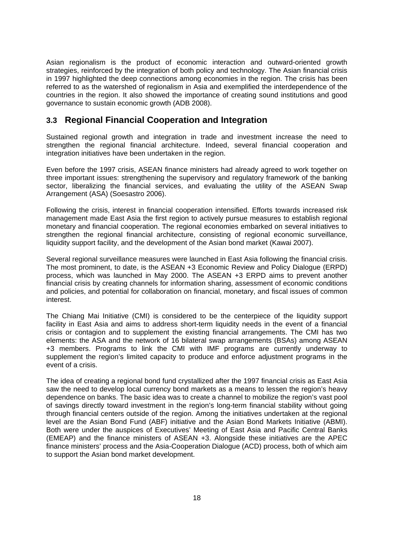Asian regionalism is the product of economic interaction and outward-oriented growth strategies, reinforced by the integration of both policy and technology. The Asian financial crisis in 1997 highlighted the deep connections among economies in the region. The crisis has been referred to as the watershed of regionalism in Asia and exemplified the interdependence of the countries in the region. It also showed the importance of creating sound institutions and good governance to sustain economic growth (ADB 2008).

### **3.3 Regional Financial Cooperation and Integration**

Sustained regional growth and integration in trade and investment increase the need to strengthen the regional financial architecture. Indeed, several financial cooperation and integration initiatives have been undertaken in the region.

Even before the 1997 crisis, ASEAN finance ministers had already agreed to work together on three important issues: strengthening the supervisory and regulatory framework of the banking sector, liberalizing the financial services, and evaluating the utility of the ASEAN Swap Arrangement (ASA) (Soesastro 2006).

Following the crisis, interest in financial cooperation intensified. Efforts towards increased risk management made East Asia the first region to actively pursue measures to establish regional monetary and financial cooperation. The regional economies embarked on several initiatives to strengthen the regional financial architecture, consisting of regional economic surveillance, liquidity support facility, and the development of the Asian bond market (Kawai 2007).

Several regional surveillance measures were launched in East Asia following the financial crisis. The most prominent, to date, is the ASEAN +3 Economic Review and Policy Dialogue (ERPD) process, which was launched in May 2000. The ASEAN +3 ERPD aims to prevent another financial crisis by creating channels for information sharing, assessment of economic conditions and policies, and potential for collaboration on financial, monetary, and fiscal issues of common interest.

The Chiang Mai Initiative (CMI) is considered to be the centerpiece of the liquidity support facility in East Asia and aims to address short-term liquidity needs in the event of a financial crisis or contagion and to supplement the existing financial arrangements. The CMI has two elements: the ASA and the network of 16 bilateral swap arrangements (BSAs) among ASEAN +3 members. Programs to link the CMI with IMF programs are currently underway to supplement the region's limited capacity to produce and enforce adjustment programs in the event of a crisis.

The idea of creating a regional bond fund crystallized after the 1997 financial crisis as East Asia saw the need to develop local currency bond markets as a means to lessen the region's heavy dependence on banks. The basic idea was to create a channel to mobilize the region's vast pool of savings directly toward investment in the region's long-term financial stability without going through financial centers outside of the region. Among the initiatives undertaken at the regional level are the Asian Bond Fund (ABF) initiative and the Asian Bond Markets Initiative (ABMI). Both were under the auspices of Executives' Meeting of East Asia and Pacific Central Banks (EMEAP) and the finance ministers of ASEAN +3. Alongside these initiatives are the APEC finance ministers' process and the Asia-Cooperation Dialogue (ACD) process, both of which aim to support the Asian bond market development.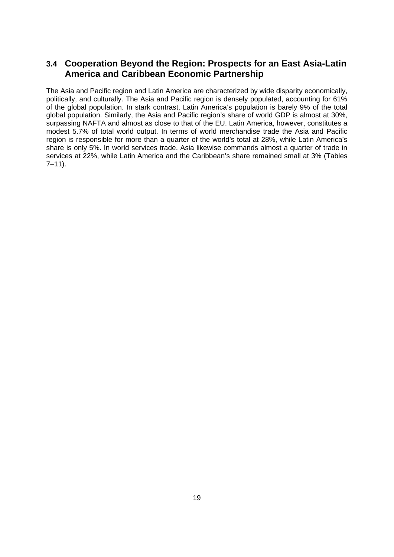## **3.4 Cooperation Beyond the Region: Prospects for an East Asia-Latin America and Caribbean Economic Partnership**

The Asia and Pacific region and Latin America are characterized by wide disparity economically, politically, and culturally. The Asia and Pacific region is densely populated, accounting for 61% of the global population. In stark contrast, Latin America's population is barely 9% of the total global population. Similarly, the Asia and Pacific region's share of world GDP is almost at 30%, surpassing NAFTA and almost as close to that of the EU. Latin America, however, constitutes a modest 5.7% of total world output. In terms of world merchandise trade the Asia and Pacific region is responsible for more than a quarter of the world's total at 28%, while Latin America's share is only 5%. In world services trade, Asia likewise commands almost a quarter of trade in services at 22%, while Latin America and the Caribbean's share remained small at 3% (Tables  $7-11$ ).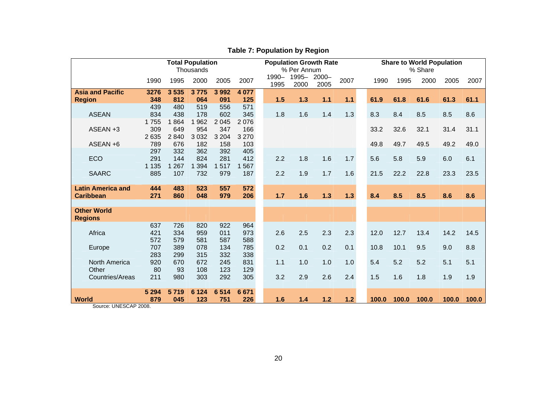|                          | <b>Total Population</b> |         |           |         |         |               |                    | <b>Population Growth Rate</b> |       |  |       |       | <b>Share to World Population</b> |       |       |  |  |  |
|--------------------------|-------------------------|---------|-----------|---------|---------|---------------|--------------------|-------------------------------|-------|--|-------|-------|----------------------------------|-------|-------|--|--|--|
|                          |                         |         | Thousands |         |         |               | % Per Annum        |                               |       |  |       |       | % Share                          |       |       |  |  |  |
|                          | 1990                    | 1995    | 2000      | 2005    | 2007    | 1990-<br>1995 | 1995-2000-<br>2000 | 2005                          | 2007  |  | 1990  | 1995  | 2000                             | 2005  | 2007  |  |  |  |
| <b>Asia and Pacific</b>  | 3276                    | 3535    | 3775      | 3 9 9 2 | 4 0 7 7 |               |                    |                               |       |  |       |       |                                  |       |       |  |  |  |
| <b>Region</b>            | 348                     | 812     | 064       | 091     | 125     | 1.5           | 1.3                | $1.1$                         | 1.1   |  | 61.9  | 61.8  | 61.6                             | 61.3  | 61.1  |  |  |  |
|                          | 439                     | 480     | 519       | 556     | 571     |               |                    |                               |       |  |       |       |                                  |       |       |  |  |  |
| <b>ASEAN</b>             | 834                     | 438     | 178       | 602     | 345     | 1.8           | 1.6                | 1.4                           | 1.3   |  | 8.3   | 8.4   | 8.5                              | 8.5   | 8.6   |  |  |  |
|                          | 1755                    | 1864    | 1 9 6 2   | 2 0 4 5 | 2076    |               |                    |                               |       |  |       |       |                                  |       |       |  |  |  |
| ASEAN +3                 | 309                     | 649     | 954       | 347     | 166     |               |                    |                               |       |  | 33.2  | 32.6  | 32.1                             | 31.4  | 31.1  |  |  |  |
|                          | 2 6 3 5                 | 2840    | 3 0 3 2   | 3 2 0 4 | 3 2 7 0 |               |                    |                               |       |  |       |       |                                  |       |       |  |  |  |
| ASEAN +6                 | 789                     | 676     | 182       | 158     | 103     |               |                    |                               |       |  | 49.8  | 49.7  | 49.5                             | 49.2  | 49.0  |  |  |  |
|                          | 297                     | 332     | 362       | 392     | 405     |               |                    |                               |       |  |       |       |                                  |       |       |  |  |  |
| <b>ECO</b>               | 291                     | 144     | 824       | 281     | 412     | 2.2           | 1.8                | 1.6                           | 1.7   |  | 5.6   | 5.8   | 5.9                              | 6.0   | 6.1   |  |  |  |
|                          | 1 1 3 5                 | 1 2 6 7 | 394       | 517     | 567     |               |                    |                               |       |  |       |       |                                  |       |       |  |  |  |
| <b>SAARC</b>             | 885                     | 107     | 732       | 979     | 187     | 2.2           | 1.9                | 1.7                           | 1.6   |  | 21.5  | 22.2  | 22.8                             | 23.3  | 23.5  |  |  |  |
|                          |                         |         |           |         |         |               |                    |                               |       |  |       |       |                                  |       |       |  |  |  |
| <b>Latin America and</b> | 444                     | 483     | 523       | 557     | 572     |               |                    |                               |       |  |       |       |                                  |       |       |  |  |  |
| <b>Caribbean</b>         | 271                     | 860     | 048       | 979     | 206     | 1.7           | 1.6                | $1.3$                         | 1.3   |  | 8.4   | 8.5   | 8.5                              | 8.6   | 8.6   |  |  |  |
|                          |                         |         |           |         |         |               |                    |                               |       |  |       |       |                                  |       |       |  |  |  |
| <b>Other World</b>       |                         |         |           |         |         |               |                    |                               |       |  |       |       |                                  |       |       |  |  |  |
| <b>Regions</b>           |                         |         |           |         |         |               |                    |                               |       |  |       |       |                                  |       |       |  |  |  |
|                          | 637                     | 726     | 820       | 922     | 964     |               |                    |                               |       |  |       |       |                                  |       |       |  |  |  |
| Africa                   | 421                     | 334     | 959       | 011     | 973     | 2.6           | 2.5                | 2.3                           | 2.3   |  | 12.0  | 12.7  | 13.4                             | 14.2  | 14.5  |  |  |  |
|                          | 572                     | 579     | 581       | 587     | 588     |               |                    |                               |       |  |       |       |                                  |       |       |  |  |  |
| Europe                   | 707                     | 389     | 078       | 134     | 785     | 0.2           | 0.1                | 0.2                           | 0.1   |  | 10.8  | 10.1  | 9.5                              | 9.0   | 8.8   |  |  |  |
|                          | 283                     | 299     | 315       | 332     | 338     |               |                    |                               |       |  |       |       |                                  |       |       |  |  |  |
| North America            | 920                     | 670     | 672       | 245     | 831     | 1.1           | 1.0                | 1.0                           | 1.0   |  | 5.4   | 5.2   | 5.2                              | 5.1   | 5.1   |  |  |  |
| Other                    | 80                      | 93      | 108       | 123     | 129     |               |                    |                               |       |  |       |       |                                  |       |       |  |  |  |
| Countries/Areas          | 211                     | 980     | 303       | 292     | 305     | 3.2           | 2.9                | 2.6                           | 2.4   |  | 1.5   | 1.6   | 1.8                              | 1.9   | 1.9   |  |  |  |
|                          | 5 2 9 4                 | 5719    | 6 1 2 4   | 6514    | 6671    |               |                    |                               |       |  |       |       |                                  |       |       |  |  |  |
| <b>World</b>             | 879                     | 045     | 123       | 751     | 226     | 1.6           | 1.4                | $1.2$                         | $1.2$ |  | 100.0 | 100.0 | 100.0                            | 100.0 | 100.0 |  |  |  |

## **Table 7: Population by Region**

Source: UNESCAP 2008.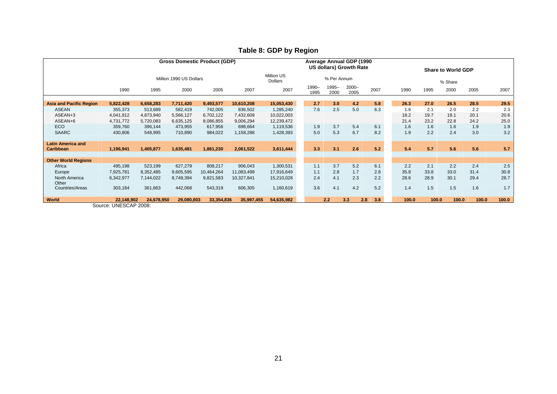|                                |                                                                                   |            | <b>Gross Domestic Product (GDP)</b> |            | Average Annual GDP (1990<br><b>US dollars) Growth Rate</b> |                              |  |               |               |                  |      | <b>Share to World GDP</b> |       |       |         |       |       |
|--------------------------------|-----------------------------------------------------------------------------------|------------|-------------------------------------|------------|------------------------------------------------------------|------------------------------|--|---------------|---------------|------------------|------|---------------------------|-------|-------|---------|-------|-------|
|                                |                                                                                   |            | Million 1990 US Dollars             |            |                                                            | Million US<br><b>Dollars</b> |  |               | % Per Annum   |                  |      |                           |       |       | % Share |       |       |
|                                | 1990                                                                              | 1995       | 2000                                | 2005       | 2007                                                       | 2007                         |  | 1990-<br>1995 | 1995-<br>2000 | $2000 -$<br>2005 | 2007 |                           | 1990  | 1995  | 2000    | 2005  | 2007  |
| <b>Asia and Pacific Region</b> | 5,822,428                                                                         | 6,658,283  | 7,711,420                           | 9,493,577  | 10,610,208                                                 | 15,053,430                   |  | 2.7           | 3.0           | 4.2              | 5.8  |                           | 26.3  | 27.0  | 26.5    | 28.5  | 29.5  |
| ASEAN                          | 355,373                                                                           | 513,689    | 582,419                             | 742,005    | 836,502                                                    | 1,285,240                    |  | 7.6           | 2.5           | 5.0              | 6.3  |                           | 1.6   | 2.1   | 2.0     | 2.2   | 2.3   |
| ASEAN+3                        | 4,041,912                                                                         | 4,873,940  | 5,566,127                           | 6,702,122  | 7,432,609                                                  | 10,022,003                   |  |               |               |                  |      |                           | 18.2  | 19.7  | 19.1    | 20.1  | 20.6  |
| ASEAN+6                        | 4,731,772                                                                         | 5,720,083  | 6,635,125                           | 8,086,855  | 9,006,294                                                  | 12,239,472                   |  |               |               |                  |      |                           | 21.4  | 23.2  | 22.8    | 24.2  | 25.0  |
| ECO                            | 359,760                                                                           | 396,144    | 473,955                             | 617,956    | 698,664                                                    | 1,119,536                    |  | 1.9           | 3.7           | 5.4              | 6.1  |                           | 1.6   | 1.6   | 1.6     | 1.9   | 1.9   |
| <b>SAARC</b>                   | 430,806                                                                           | 548,995    | 710,890                             | 984,022    | 1,158,288                                                  | 1,428,393                    |  | 5.0           | 5.3           | 6.7              | 8.2  |                           | 1.9   | 2.2   | 2.4     | 3.0   | 3.2   |
| <b>Latin America and</b>       |                                                                                   |            |                                     |            |                                                            |                              |  |               |               |                  |      |                           |       |       |         |       |       |
| <b>Caribbean</b>               | 1,196,941                                                                         | 1,405,877  | 1,635,481                           | 1,861,230  | 2,061,522                                                  | 3,611,444                    |  | 3.3           | 3.1           | 2.6              | 5.2  |                           | 5.4   | 5.7   | 5.6     | 5.6   | 5.7   |
| <b>Other World Regions</b>     |                                                                                   |            |                                     |            |                                                            |                              |  |               |               |                  |      |                           |       |       |         |       |       |
| Africa                         | 495,198                                                                           | 523,199    | 627,279                             | 808,217    | 906,043                                                    | 1,300,531                    |  | 1.1           | 3.7           | 5.2              | 6.1  |                           | 2.2   | 2.1   | 2.2     | 2.4   | 2.5   |
| Europe                         | 7,925,781                                                                         | 8,352,485  | 9,605,595                           | 10,464,264 | 11,083,499                                                 | 17,916,649                   |  | 1.1           | 2.8           | 1.7              | 2.8  |                           | 35.8  | 33.8  | 33.0    | 31.4  | 30.8  |
| North America                  | 6,342,977                                                                         | 7,144,022  | 8,749,394                           | 9,821,583  | 10,327,841                                                 | 15,210,028                   |  | 2.4           | 4.1           | 2.3              | 2.2  |                           | 28.6  | 28.9  | 30.1    | 29.4  | 28.7  |
| Other<br>Countries/Areas       | 303,184                                                                           | 361,663    | 442,068                             | 543,319    | 606,305                                                    | 1,160,619                    |  | 3.6           | 4.1           | 4.2              | 5.2  |                           | 1.4   | 1.5   | 1.5     | 1.6   | 1.7   |
| <b>World</b>                   | 22,148,902<br>$0.$ $\cdots$ $\cdots$ $\cdots$ $\cdots$ $\cdots$ $\cdots$ $\cdots$ | 24,678,950 | 29,080,803                          | 33,354,836 | 35,997,455                                                 | 54,635,982                   |  |               | 2.2           | 3.3<br>2.8       | 3.8  |                           | 100.0 | 100.0 | 100.0   | 100.0 | 100.0 |

## **Table 8: GDP by Region**

Source: UNESCAP 2008: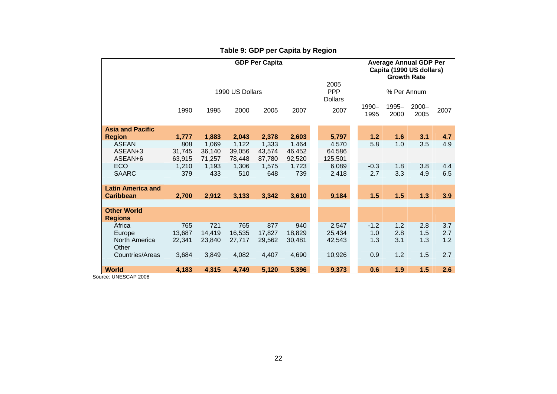|                                      |        |        | <b>Average Annual GDP Per</b><br>Capita (1990 US dollars)<br><b>Growth Rate</b> |        |                                      |         |               |               |                  |      |
|--------------------------------------|--------|--------|---------------------------------------------------------------------------------|--------|--------------------------------------|---------|---------------|---------------|------------------|------|
|                                      |        |        | 1990 US Dollars                                                                 |        | 2005<br><b>PPP</b><br><b>Dollars</b> |         | % Per Annum   |               |                  |      |
|                                      | 1990   | 1995   | 2000                                                                            | 2005   | 2007                                 | 2007    | 1990-<br>1995 | 1995-<br>2000 | $2000 -$<br>2005 | 2007 |
| <b>Asia and Pacific</b>              |        |        |                                                                                 |        |                                      |         |               |               |                  |      |
| <b>Region</b>                        | 1,777  | 1,883  | 2,043                                                                           | 2,378  | 2,603                                | 5,797   |               | 1.2<br>1.6    | 3.1              | 4.7  |
| ASEAN                                | 808    | 1.069  | 1,122                                                                           | 1,333  | 1,464                                | 4,570   |               | 5.8<br>1.0    | 3.5              | 4.9  |
| ASEAN+3                              | 31,745 | 36,140 | 39,056                                                                          | 43,574 | 46,452                               | 64,586  |               |               |                  |      |
| ASEAN+6                              | 63,915 | 71.257 | 78.448                                                                          | 87.780 | 92,520                               | 125,501 |               |               |                  |      |
| ECO                                  | 1,210  | 1,193  | 1,306                                                                           | 1,575  | 1,723                                | 6,089   |               | 1.8<br>$-0.3$ | 3.8              | 4.4  |
| <b>SAARC</b>                         | 379    | 433    | 510                                                                             | 648    | 739                                  | 2,418   |               | 2.7<br>3.3    | 4.9              | 6.5  |
| <b>Latin America and</b>             |        |        |                                                                                 |        |                                      |         |               |               |                  |      |
| <b>Caribbean</b>                     | 2,700  | 2,912  | 3,133                                                                           | 3,342  | 3,610                                | 9,184   |               | 1.5<br>1.5    | $1.3$            | 3.9  |
| <b>Other World</b><br><b>Regions</b> |        |        |                                                                                 |        |                                      |         |               |               |                  |      |
| Africa                               | 765    | 721    | 765                                                                             | 877    | 940                                  | 2,547   |               | $-1.2$<br>1.2 | 2.8              | 3.7  |
| Europe                               | 13.687 | 14.419 | 16,535                                                                          | 17.827 | 18,829                               | 25,434  |               | 1.0<br>2.8    | 1.5              | 2.7  |
| North America<br>Other               | 22,341 | 23,840 | 27,717                                                                          | 29,562 | 30,481                               | 42,543  |               | 1.3<br>3.1    | 1.3              | 1.2  |
| Countries/Areas                      | 3,684  | 3,849  | 4,082                                                                           | 4,407  | 4,690                                | 10,926  |               | 0.9<br>1.2    | 1.5              | 2.7  |
| <b>World</b>                         | 4,183  | 4,315  | 4,749                                                                           | 5,120  | 5,396                                | 9,373   |               | 1.9<br>0.6    | 1.5              | 2.6  |

## **Table 9: GDP per Capita by Region**

Source: UNESCAP 2008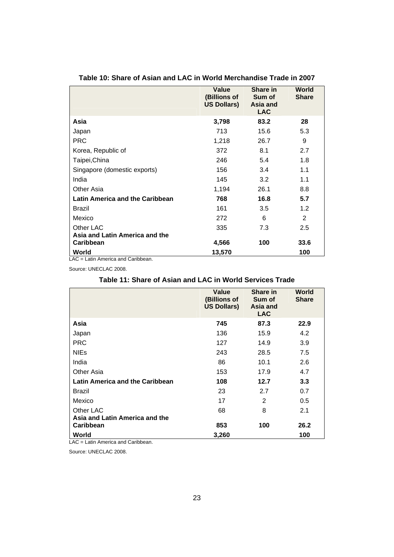|                                 | <b>Value</b><br>(Billions of<br><b>US Dollars)</b> | Share in<br>Sum of<br>Asia and<br><b>LAC</b> | World<br><b>Share</b> |
|---------------------------------|----------------------------------------------------|----------------------------------------------|-----------------------|
| Asia                            | 3,798                                              | 83.2                                         | 28                    |
| Japan                           | 713                                                | 15.6                                         | 5.3                   |
| <b>PRC</b>                      | 1,218                                              | 26.7                                         | 9                     |
| Korea, Republic of              | 372                                                | 8.1                                          | 2.7                   |
| Taipei, China                   | 246                                                | 5.4                                          | 1.8                   |
| Singapore (domestic exports)    | 156                                                | 3.4                                          | 1.1                   |
| India                           | 145                                                | 3.2                                          | 1.1                   |
| Other Asia                      | 1,194                                              | 26.1                                         | 8.8                   |
| Latin America and the Caribbean | 768                                                | 16.8                                         | 5.7                   |
| <b>Brazil</b>                   | 161                                                | 3.5                                          | 1.2                   |
| Mexico                          | 272                                                | 6                                            | 2                     |
| Other LAC                       | 335                                                | 7.3                                          | 2.5                   |
| Asia and Latin America and the  |                                                    |                                              |                       |
| <b>Caribbean</b>                | 4,566                                              | 100                                          | 33.6                  |
| World<br>. .                    | 13,570                                             |                                              | 100                   |

#### **Table 10: Share of Asian and LAC in World Merchandise Trade in 2007**

LAC = Latin America and Caribbean.

Source: UNECLAC 2008.

#### **Table 11: Share of Asian and LAC in World Services Trade**

|                                                    | <b>Value</b><br>(Billions of<br><b>US Dollars)</b> | Share in<br>Sum of<br>Asia and<br><b>LAC</b> | World<br><b>Share</b> |
|----------------------------------------------------|----------------------------------------------------|----------------------------------------------|-----------------------|
| Asia                                               | 745                                                | 87.3                                         | 22.9                  |
| Japan                                              | 136                                                | 15.9                                         | 4.2                   |
| <b>PRC</b>                                         | 127                                                | 14.9                                         | 3.9                   |
| <b>NIEs</b>                                        | 243                                                | 28.5                                         | 7.5                   |
| India                                              | 86                                                 | 10.1                                         | 2.6                   |
| Other Asia                                         | 153                                                | 17.9                                         | 4.7                   |
| Latin America and the Caribbean                    | 108                                                | 12.7                                         | 3.3 <sub>2</sub>      |
| <b>Brazil</b>                                      | 23                                                 | 2.7                                          | 0.7                   |
| Mexico                                             | 17                                                 | 2                                            | 0.5                   |
| Other LAC                                          | 68                                                 | 8                                            | 2.1                   |
| Asia and Latin America and the<br><b>Caribbean</b> | 853                                                | 100                                          | 26.2                  |
| World                                              | 3,260                                              |                                              | 100                   |

LAC = Latin America and Caribbean.

Source: UNECLAC 2008.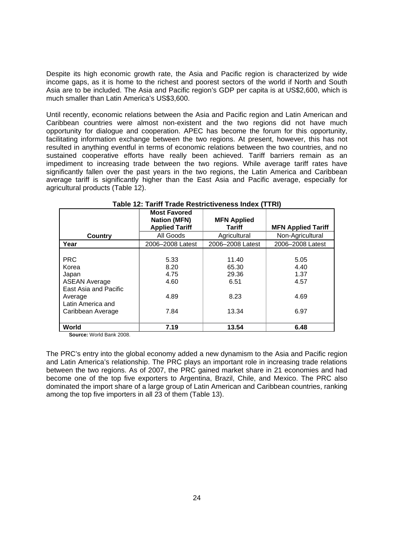Despite its high economic growth rate, the Asia and Pacific region is characterized by wide income gaps, as it is home to the richest and poorest sectors of the world if North and South Asia are to be included. The Asia and Pacific region's GDP per capita is at US\$2,600, which is much smaller than Latin America's US\$3,600.

Until recently, economic relations between the Asia and Pacific region and Latin American and Caribbean countries were almost non-existent and the two regions did not have much opportunity for dialogue and cooperation. APEC has become the forum for this opportunity, facilitating information exchange between the two regions. At present, however, this has not resulted in anything eventful in terms of economic relations between the two countries, and no sustained cooperative efforts have really been achieved. Tariff barriers remain as an impediment to increasing trade between the two regions. While average tariff rates have significantly fallen over the past years in the two regions, the Latin America and Caribbean average tariff is significantly higher than the East Asia and Pacific average, especially for agricultural products (Table 12).

|                       | <b>Most Favored</b><br><b>Nation (MFN)</b> | <b>MFN Applied</b> |                           |
|-----------------------|--------------------------------------------|--------------------|---------------------------|
|                       | <b>Applied Tariff</b>                      | <b>Tariff</b>      | <b>MFN Applied Tariff</b> |
| Country               | All Goods                                  | Agricultural       | Non-Agricultural          |
| Year                  | 2006-2008 Latest                           | 2006-2008 Latest   | 2006-2008 Latest          |
|                       |                                            |                    |                           |
| <b>PRC</b>            | 5.33                                       | 11.40              | 5.05                      |
| Korea                 | 8.20                                       | 65.30              | 4.40                      |
| Japan                 | 4.75                                       | 29.36              | 1.37                      |
| <b>ASEAN Average</b>  | 4.60                                       | 6.51               | 4.57                      |
| East Asia and Pacific |                                            |                    |                           |
| Average               | 4.89                                       | 8.23               | 4.69                      |
| Latin America and     |                                            |                    |                           |
| Caribbean Average     | 7.84                                       | 13.34              | 6.97                      |
|                       |                                            |                    |                           |
| World                 | 7.19                                       | 13.54              | 6.48                      |

**Source:** World Bank 2008.

The PRC's entry into the global economy added a new dynamism to the Asia and Pacific region and Latin America's relationship. The PRC plays an important role in increasing trade relations between the two regions. As of 2007, the PRC gained market share in 21 economies and had become one of the top five exporters to Argentina, Brazil, Chile, and Mexico. The PRC also dominated the import share of a large group of Latin American and Caribbean countries, ranking among the top five importers in all 23 of them (Table 13).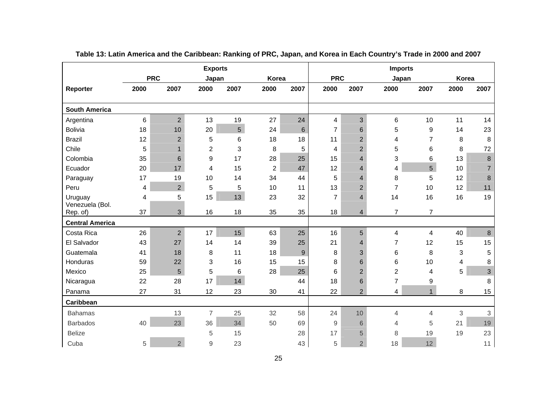|                             |                 |                 |                | <b>Exports</b>  |                |      | <b>Imports</b> |                          |                |                |       |                |
|-----------------------------|-----------------|-----------------|----------------|-----------------|----------------|------|----------------|--------------------------|----------------|----------------|-------|----------------|
|                             |                 | <b>PRC</b>      | Japan          |                 | Korea          |      | <b>PRC</b>     |                          |                | Japan          | Korea |                |
| Reporter                    | 2000            | 2007            | 2000           | 2007            | 2000           | 2007 | 2000           | 2007                     | 2000           | 2007           | 2000  | 2007           |
|                             |                 |                 |                |                 |                |      |                |                          |                |                |       |                |
| <b>South America</b>        |                 |                 |                |                 |                |      |                |                          |                |                |       |                |
| Argentina                   | $6\phantom{1}6$ | $\overline{2}$  | 13             | 19              | 27             | 24   | 4              | 3                        | 6              | 10             | 11    | 14             |
| <b>Bolivia</b>              | 18              | 10              | 20             | $5\phantom{.0}$ | 24             | 6    | $\overline{7}$ | 6                        | 5              | 9              | 14    | 23             |
| <b>Brazil</b>               | 12              | $\overline{2}$  | 5              | 6               | 18             | 18   | 11             | $\overline{2}$           | 4              | $\overline{7}$ | 8     | 8              |
| Chile                       | 5               | $\mathbf{1}$    | $\overline{2}$ | 3               | 8              | 5    | 4              | $\overline{2}$           | 5              | 6              | 8     | 72             |
| Colombia                    | 35              | $6\phantom{1}6$ | 9              | 17              | 28             | 25   | 15             | $\overline{\mathcal{A}}$ | 3              | 6              | 13    | 8              |
| Ecuador                     | 20              | 17              | 4              | 15              | $\overline{2}$ | 47   | 12             | $\overline{\mathcal{A}}$ | 4              | 5              | 10    | $\overline{7}$ |
| Paraguay                    | 17              | 19              | 10             | 14              | 34             | 44   | 5              | $\overline{\mathcal{A}}$ | 8              | 5              | 12    | 8              |
| Peru                        | 4               | $\overline{2}$  | 5              | 5               | 10             | 11   | 13             | $\overline{2}$           | $\overline{7}$ | 10             | 12    | 11             |
| Uruguay                     | 4               | 5               | 15             | 13              | 23             | 32   | $\overline{7}$ | $\overline{\mathbf{A}}$  | 14             | 16             | 16    | 19             |
| Venezuela (Bol.<br>Rep. of) | 37              | $\mathfrak{S}$  | 16             | 18              | 35             | 35   | 18             | $\overline{4}$           | 7              | 7              |       |                |
|                             |                 |                 |                |                 |                |      |                |                          |                |                |       |                |
| <b>Central America</b>      |                 |                 |                |                 |                |      |                |                          |                |                |       |                |
| Costa Rica                  | 26              | $\overline{2}$  | 17             | 15              | 63             | 25   | 16             | 5                        | 4              | 4              | 40    | 8              |
| El Salvador                 | 43              | 27              | 14             | 14              | 39             | 25   | 21             | 4                        | $\overline{7}$ | 12             | 15    | 15             |
| Guatemala                   | 41              | 18              | 8              | 11              | 18             | 9    | 8              | 3                        | 6              | 8              | 3     | 5              |
| Honduras                    | 59              | 22              | 3              | 16              | 15             | 15   | 8              | 6                        | 6              | 10             | 4     | 8              |
| Mexico                      | 25              | 5               | 5              | 6               | 28             | 25   | 6              | $\overline{2}$           | $\overline{2}$ | 4              | 5     | 3              |
| Nicaragua                   | 22              | 28              | 17             | 14              |                | 44   | 18             | 6                        | $\overline{7}$ | 9              |       | 8              |
| Panama                      | 27              | 31              | 12             | 23              | 30             | 41   | 22             | $\overline{2}$           | 4              | $\mathbf{1}$   | 8     | 15             |
| Caribbean                   |                 |                 |                |                 |                |      |                |                          |                |                |       |                |
| <b>Bahamas</b>              |                 | 13              | $\overline{7}$ | 25              | 32             | 58   | 24             | 10                       | $\overline{4}$ | $\overline{4}$ | 3     | 3              |
| <b>Barbados</b>             | 40              | 23              | 36             | 34              | 50             | 69   | 9              | 6                        | 4              | 5              | 21    | 19             |
| <b>Belize</b>               |                 |                 | 5              | 15              |                | 28   | 17             | 5                        | 8              | 19             | 19    | 23             |
| Cuba                        | 5               | $\overline{2}$  | 9              | 23              |                | 43   | 5              | $\overline{2}$           | 18             | 12             |       | 11             |

**Table 13: Latin America and the Caribbean: Ranking of PRC, Japan, and Korea in Each Country's Trade in 2000 and 2007**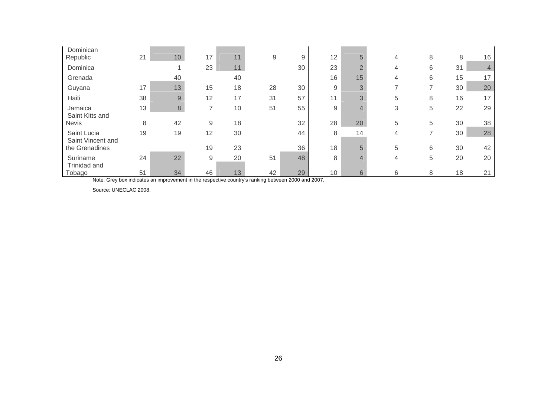| Dominican<br>Republic            | 21 | 10 | 17                       | 11 | 9  | 9  | 12 | 5              | 4              | 8              | 8  | 16 |
|----------------------------------|----|----|--------------------------|----|----|----|----|----------------|----------------|----------------|----|----|
|                                  |    |    |                          |    |    |    |    |                |                |                |    |    |
| Dominica                         |    |    | 23                       | 11 |    | 30 | 23 | $\overline{2}$ | 4              | 6              | 31 | 4  |
| Grenada                          |    | 40 |                          | 40 |    |    | 16 | 15             | 4              | 6              | 15 | 17 |
| Guyana                           | 17 | 13 | 15                       | 18 | 28 | 30 | 9  | 3              | $\overline{ }$ | 7              | 30 | 20 |
| Haiti                            | 38 | 9  | 12                       | 17 | 31 | 57 | 11 | 3              | 5              | 8              | 16 | 17 |
| Jamaica<br>Saint Kitts and       | 13 | 8  | $\overline{\phantom{a}}$ | 10 | 51 | 55 | 9  | $\overline{4}$ | 3              | 5              | 22 | 29 |
| <b>Nevis</b>                     | 8  | 42 | 9                        | 18 |    | 32 | 28 | 20             | 5              | 5              | 30 | 38 |
| Saint Lucia<br>Saint Vincent and | 19 | 19 | 12                       | 30 |    | 44 | 8  | 14             | 4              | $\overline{ }$ | 30 | 28 |
| the Grenadines                   |    |    | 19                       | 23 |    | 36 | 18 | 5              | 5              | 6              | 30 | 42 |
| Suriname<br>Trinidad and         | 24 | 22 | 9                        | 20 | 51 | 48 | 8  | 4              | 4              | 5              | 20 | 20 |
| Tobago                           | 51 | 34 | 46                       | 13 | 42 | 29 | 10 | 6              | 6              | 8              | 18 | 21 |

Note: Grey box indicates an improvement in the respective country's ranking between 2000 and 2007.

Source: UNECLAC 2008.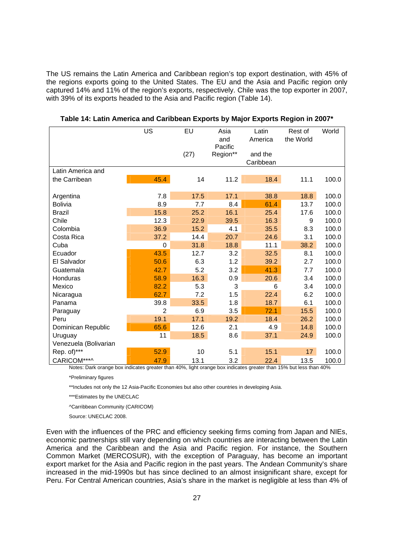The US remains the Latin America and Caribbean region's top export destination, with 45% of the regions exports going to the United States. The EU and the Asia and Pacific region only captured 14% and 11% of the region's exports, respectively. Chile was the top exporter in 2007, with 39% of its exports headed to the Asia and Pacific region (Table 14).

|                       | US       | EU                        | Asia     | Latin                | Rest of       | World         |
|-----------------------|----------|---------------------------|----------|----------------------|---------------|---------------|
|                       |          |                           | and      | America              | the World     |               |
|                       |          |                           | Pacific  |                      |               |               |
|                       |          | (27)                      | Region** | and the<br>Caribbean |               |               |
| Latin America and     |          |                           |          |                      |               |               |
|                       |          |                           |          |                      |               |               |
| the Carribean         | 45.4     | 14                        | 11.2     | 18.4                 | 11.1          | 100.0         |
| Argentina             | 7.8      | 17.5                      | 17.1     | 38.8                 | 18.8          | 100.0         |
| <b>Bolivia</b>        | 8.9      | 7.7                       | 8.4      | 61.4                 | 13.7          | 100.0         |
| <b>Brazil</b>         | 15.8     | 25.2                      | 16.1     | 25.4                 | 17.6          | 100.0         |
| Chile                 | 12.3     | 22.9                      | 39.5     | 16.3                 | 9             | 100.0         |
| Colombia              | 36.9     | 15.2                      | 4.1      | 35.5                 | 8.3           | 100.0         |
| Costa Rica            | 37.2     | 14.4                      | 20.7     | 24.6                 | 3.1           | 100.0         |
| Cuba                  | $\Omega$ | 31.8                      | 18.8     | 11.1                 | 38.2          | 100.0         |
| Ecuador               | 43.5     | 12.7                      | 3.2      | 32.5                 | 8.1           | 100.0         |
| El Salvador           | 50.6     | 6.3                       | 1.2      | 39.2                 | 2.7           | 100.0         |
| Guatemala             | 42.7     | 5.2                       | 3.2      | 41.3                 | 7.7           | 100.0         |
| Honduras              | 58.9     | 16.3                      | 0.9      | 20.6                 | 3.4           | 100.0         |
| Mexico                | 82.2     | 5.3                       | 3        | 6                    | 3.4           | 100.0         |
| Nicaragua             | 62.7     | 7.2                       | 1.5      | 22.4                 | 6.2           | 100.0         |
| Panama                | 39.8     | 33.5                      | 1.8      | 18.7                 | 6.1           | 100.0         |
| Paraguay              | 2        | 6.9                       | 3.5      | 72.1                 | 15.5          | 100.0         |
| Peru                  | 19.1     | 17.1                      | 19.2     | 18.4                 | 26.2          | 100.0         |
| Dominican Republic    | 65.6     | 12.6                      | 2.1      | 4.9                  | 14.8          | 100.0         |
| Uruguay               | 11       | 18.5                      | 8.6      | 37.1                 | 24.9          | 100.0         |
| Venezuela (Bolivarian |          |                           |          |                      |               |               |
| Rep. of)***           | 52.9     | 10                        | 5.1      | 15.1                 | 17            | 100.0         |
| CARICOM***^           | 47.9     | 13.1<br>10 actual<br>1001 | 3.2      | 22.4                 | 13.5<br>ATO/L | 100.0<br>1001 |

**Table 14: Latin America and Caribbean Exports by Major Exports Region in 2007\*** 

Notes: Dark orange box indicates greater than 40%, light orange box indicates greater than 15% but less than 40%

\*Preliminary figures

\*\*Includes not only the 12 Asia-Pacific Economies but also other countries in developing Asia.

\*\*\*Estimates by the UNECLAC

^Carribbean Community (CARICOM)

Source: UNECLAC 2008.

Even with the influences of the PRC and efficiency seeking firms coming from Japan and NIEs, economic partnerships still vary depending on which countries are interacting between the Latin America and the Caribbean and the Asia and Pacific region. For instance, the Southern Common Market (MERCOSUR), with the exception of Paraguay, has become an important export market for the Asia and Pacific region in the past years. The Andean Community's share increased in the mid-1990s but has since declined to an almost insignificant share, except for Peru. For Central American countries, Asia's share in the market is negligible at less than 4% of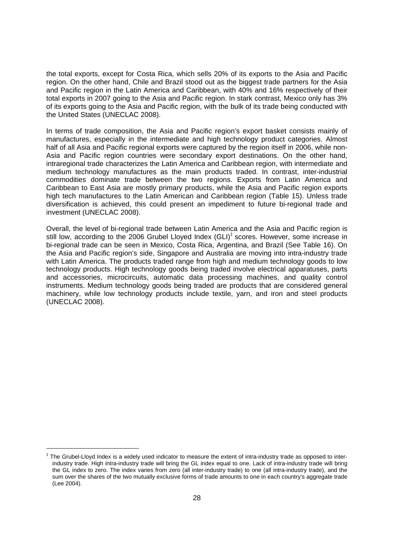the total exports, except for Costa Rica, which sells 20% of its exports to the Asia and Pacific region. On the other hand, Chile and Brazil stood out as the biggest trade partners for the Asia and Pacific region in the Latin America and Caribbean, with 40% and 16% respectively of their total exports in 2007 going to the Asia and Pacific region. In stark contrast, Mexico only has 3% of its exports going to the Asia and Pacific region, with the bulk of its trade being conducted with the United States (UNECLAC 2008).

In terms of trade composition, the Asia and Pacific region's export basket consists mainly of manufactures, especially in the intermediate and high technology product categories. Almost half of all Asia and Pacific regional exports were captured by the region itself in 2006, while non-Asia and Pacific region countries were secondary export destinations. On the other hand, intraregional trade characterizes the Latin America and Caribbean region, with intermediate and medium technology manufactures as the main products traded. In contrast, inter-industrial commodities dominate trade between the two regions. Exports from Latin America and Caribbean to East Asia are mostly primary products, while the Asia and Pacific region exports high tech manufactures to the Latin American and Caribbean region (Table 15). Unless trade diversification is achieved, this could present an impediment to future bi-regional trade and investment (UNECLAC 2008).

Overall, the level of bi-regional trade between Latin America and the Asia and Pacific region is still low, according to the 2006 Grubel Lloyed Index (GLI)<sup>‡</sup> scores. However, some increase in bi-regional trade can be seen in Mexico, Costa Rica, Argentina, and Brazil (See Table 16). On the Asia and Pacific region's side, Singapore and Australia are moving into intra-industry trade with Latin America. The products traded range from high and medium technology goods to low technology products. High technology goods being traded involve electrical apparatuses, parts and accessories, microcircuits, automatic data processing machines, and quality control instruments. Medium technology goods being traded are products that are considered general machinery, while low technology products include textile, yarn, and iron and steel products (UNECLAC 2008).

-

<sup>‡</sup> The Grubel-Lloyd Index is a widely used indicator to measure the extent of intra-industry trade as opposed to interindustry trade. High intra-industry trade will bring the GL index equal to one. Lack of intra-industry trade will bring the GL index to zero. The index varies from zero (all inter-industry trade) to one (all intra-industry trade), and the sum over the shares of the two mutually exclusive forms of trade amounts to one in each country's aggregate trade (Lee 2004).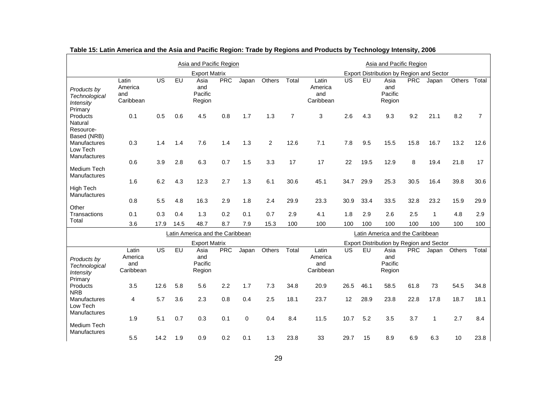|                                                        |                                      |                 |      | Asia and Pacific Region          |            |          |                |                | Asia and Pacific Region              |           |      |                                          |            |              |               |       |
|--------------------------------------------------------|--------------------------------------|-----------------|------|----------------------------------|------------|----------|----------------|----------------|--------------------------------------|-----------|------|------------------------------------------|------------|--------------|---------------|-------|
|                                                        |                                      |                 |      | <b>Export Matrix</b>             |            |          |                |                |                                      |           |      | Export Distribution by Region and Sector |            |              |               |       |
| Products by<br>Technological<br>Intensity<br>Primary   | Latin<br>America<br>and<br>Caribbean | <b>US</b>       | EU   | Asia<br>and<br>Pacific<br>Region | <b>PRC</b> | Japan    | <b>Others</b>  | Total          | Latin<br>America<br>and<br>Caribbean | US        | EU   | Asia<br>and<br>Pacific<br>Region         | <b>PRC</b> | Japan        | <b>Others</b> | Total |
| Products<br>Natural<br>Resource-<br>Based (NRB)        | 0.1                                  | 0.5             | 0.6  | 4.5                              | 0.8        | 1.7      | 1.3            | $\overline{7}$ | 3                                    | 2.6       | 4.3  | 9.3                                      | 9.2        | 21.1         | 8.2           | 7     |
| Manufactures<br>Low Tech<br><b>Manufactures</b>        | 0.3                                  | 1.4             | 1.4  | 7.6                              | 1.4        | 1.3      | $\overline{c}$ | 12.6           | 7.1                                  | 7.8       | 9.5  | 15.5                                     | 15.8       | 16.7         | 13.2          | 12.6  |
| Medium Tech<br><b>Manufactures</b>                     | 0.6                                  | 3.9             | 2.8  | 6.3                              | 0.7        | 1.5      | 3.3            | 17             | 17                                   | 22        | 19.5 | 12.9                                     | 8          | 19.4         | 21.8          | 17    |
| High Tech<br><b>Manufactures</b>                       | 1.6                                  | 6.2             | 4.3  | 12.3                             | 2.7        | 1.3      | 6.1            | 30.6           | 45.1                                 | 34.7      | 29.9 | 25.3                                     | 30.5       | 16.4         | 39.8          | 30.6  |
| Other                                                  | 0.8                                  | 5.5             | 4.8  | 16.3                             | 2.9        | 1.8      | 2.4            | 29.9           | 23.3                                 | 30.9      | 33.4 | 33.5                                     | 32.8       | 23.2         | 15.9          | 29.9  |
| Transactions                                           | 0.1                                  | 0.3             | 0.4  | 1.3                              | 0.2        | 0.1      | 0.7            | 2.9            | 4.1                                  | 1.8       | 2.9  | 2.6                                      | 2.5        | $\mathbf{1}$ | 4.8           | 2.9   |
| Total                                                  | 3.6                                  | 17.9            | 14.5 | 48.7                             | 8.7        | 7.9      | 15.3           | 100            | 100                                  | 100       | 100  | 100                                      | 100        | 100          | 100           | 100   |
|                                                        |                                      |                 |      | Latin America and the Caribbean  |            |          |                |                |                                      |           |      | Latin America and the Caribbean          |            |              |               |       |
|                                                        |                                      |                 |      | <b>Export Matrix</b>             |            |          |                |                |                                      |           |      | Export Distribution by Region and Sector |            |              |               |       |
| Products by<br>Technological<br>Intensity              | Latin<br>America<br>and<br>Caribbean | $\overline{US}$ | EU   | Asia<br>and<br>Pacific<br>Region | <b>PRC</b> | Japan    | Others         | Total          | Latin<br>America<br>and<br>Caribbean | <b>US</b> | EU   | Asia<br>and<br>Pacific<br>Region         | <b>PRC</b> |              | Japan Others  | Total |
| Primary<br>Products<br><b>NRB</b>                      | 3.5                                  | 12.6            | 5.8  | 5.6                              | 2.2        | 1.7      | 7.3            | 34.8           | 20.9                                 | 26.5      | 46.1 | 58.5                                     | 61.8       | 73           | 54.5          | 34.8  |
| <b>Manufactures</b><br>Low Tech<br><b>Manufactures</b> | 4                                    | 5.7             | 3.6  | 2.3                              | 0.8        | 0.4      | 2.5            | 18.1           | 23.7                                 | 12        | 28.9 | 23.8                                     | 22.8       | 17.8         | 18.7          | 18.1  |
| Medium Tech<br>Manufactures                            | 1.9                                  | 5.1             | 0.7  | 0.3                              | 0.1        | $\Omega$ | 0.4            | 8.4            | 11.5                                 | 10.7      | 5.2  | 3.5                                      | 3.7        | 1            | 2.7           | 8.4   |
|                                                        | 5.5                                  | 14.2            | 1.9  | 0.9                              | 0.2        | 0.1      | 1.3            | 23.8           | 33                                   | 29.7      | 15   | 8.9                                      | 6.9        | 6.3          | 10            | 23.8  |

| Table 15: Latin America and the Asia and Pacific Region: Trade by Regions and Products by Technology Intensity, 2006 |  |  |
|----------------------------------------------------------------------------------------------------------------------|--|--|
|                                                                                                                      |  |  |

٠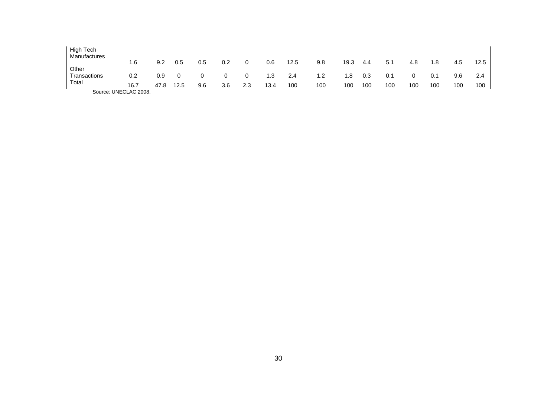| High Tech<br>Manufactures |                         |      |      |     |     |     |      |      |     |      |     |     |     |     |     |      |
|---------------------------|-------------------------|------|------|-----|-----|-----|------|------|-----|------|-----|-----|-----|-----|-----|------|
|                           | 1.6                     | 9.2  | 0.5  | 0.5 | 0.2 |     | 0.6  | 12.5 | 9.8 | 19.3 | 4.4 | 5.1 | 4.8 | . 8 | 4.5 | 12.5 |
| Other                     |                         |      |      |     |     |     |      |      |     |      |     |     |     |     |     |      |
| Transactions              | 0.2                     | 0.9  |      |     | 0   |     | 1.3  | 2.4  | 1.2 | 1.8  | 0.3 | 0.1 |     | 0.1 | 9.6 | 2.4  |
| Total                     |                         |      |      |     |     |     |      |      |     |      |     |     |     |     |     |      |
|                           | 16.7                    | 47.8 | 12.5 | 9.6 | 3.6 | 2.3 | 13.4 | 100  | 100 | 100  | 100 | 100 | 100 | 100 | 100 | 100  |
|                           | $\Omega$ . INFOLAR 2222 |      |      |     |     |     |      |      |     |      |     |     |     |     |     |      |

Source: UNECLAC 2008.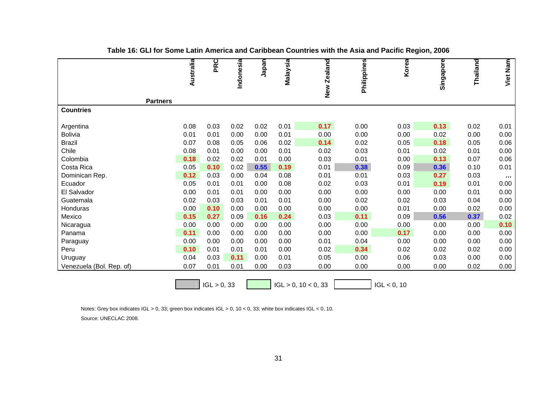|                          | Australia | PRC         | Indonesia | Japan | Malaysia | New Zealand            | Philippines | Korea       | Singapore | Thailand | Viet Nam  |
|--------------------------|-----------|-------------|-----------|-------|----------|------------------------|-------------|-------------|-----------|----------|-----------|
|                          |           |             |           |       |          |                        |             |             |           |          |           |
|                          |           |             |           |       |          |                        |             |             |           |          |           |
|                          |           |             |           |       |          |                        |             |             |           |          |           |
| <b>Partners</b>          |           |             |           |       |          |                        |             |             |           |          |           |
| <b>Countries</b>         |           |             |           |       |          |                        |             |             |           |          |           |
|                          |           |             |           |       |          |                        |             |             |           |          |           |
| Argentina                | 0.08      | 0.03        | 0.02      | 0.02  | 0.01     | 0.17                   | 0.00        | 0.03        | 0.13      | 0.02     | 0.01      |
| Bolivia                  | 0.01      | 0.01        | 0.00      | 0.00  | 0.01     | 0.00                   | 0.00        | 0.00        | 0.02      | 0.00     | 0.00      |
| <b>Brazil</b>            | 0.07      | 0.08        | 0.05      | 0.06  | 0.02     | 0.14                   | 0.02        | 0.05        | 0.18      | 0.05     | 0.06      |
| Chile                    | 0.08      | 0.01        | 0.00      | 0.00  | 0.01     | 0.02                   | 0.03        | 0.01        | 0.02      | 0.01     | 0.00      |
| Colombia                 | 0.18      | 0.02        | 0.02      | 0.01  | 0.00     | 0.03                   | 0.01        | 0.00        | 0.13      | 0.07     | 0.06      |
| Costa Rica               | 0.05      | 0.10        | 0.02      | 0.55  | 0.19     | 0.01                   | 0.38        | 0.09        | 0.36      | 0.10     | 0.01      |
| Dominican Rep.           | 0.12      | 0.03        | 0.00      | 0.04  | 0.08     | 0.01                   | 0.01        | 0.03        | 0.27      | 0.03     | $\sim 10$ |
| Ecuador                  | 0.05      | 0.01        | 0.01      | 0.00  | 0.08     | 0.02                   | 0.03        | 0.01        | 0.19      | 0.01     | 0.00      |
| El Salvador              | 0.00      | 0.01        | 0.01      | 0.00  | 0.00     | 0.00                   | 0.00        | 0.00        | 0.00      | 0.01     | 0.00      |
| Guatemala                | 0.02      | 0.03        | 0.03      | 0.01  | 0.01     | 0.00                   | 0.02        | 0.02        | 0.03      | 0.04     | 0.00      |
| Honduras                 | 0.00      | 0.10        | 0.00      | 0.00  | 0.00     | 0.00                   | 0.00        | 0.01        | 0.00      | 0.02     | 0.00      |
| Mexico                   | 0.15      | 0.27        | 0.09      | 0.16  | 0.24     | 0.03                   | 0.11        | 0.09        | 0.56      | 0.37     | 0.02      |
| Nicaragua                | 0.00      | 0.00        | 0.00      | 0.00  | 0.00     | 0.00                   | 0.00        | 0.00        | 0.00      | 0.00     | 0.10      |
| Panama                   | 0.11      | 0.00        | 0.00      | 0.00  | 0.00     | 0.00                   | 0.00        | 0.17        | 0.00      | 0.00     | 0.00      |
| Paraguay                 | 0.00      | 0.00        | 0.00      | 0.00  | 0.00     | 0.01                   | 0.04        | 0.00        | 0.00      | 0.00     | 0.00      |
| Peru                     | 0.10      | 0.01        | 0.01      | 0.01  | 0.00     | 0.02                   | 0.34        | 0.02        | 0.02      | 0.02     | 0.00      |
| Uruguay                  | 0.04      | 0.03        | 0.11      | 0.00  | 0.01     | 0.05                   | 0.00        | 0.06        | 0.03      | 0.00     | 0.00      |
| Venezuela (Bol. Rep. of) | 0.07      | 0.01        | 0.01      | 0.00  | 0.03     | 0.00                   | 0.00        | 0.00        | 0.00      | 0.02     | 0.00      |
|                          |           |             |           |       |          |                        |             |             |           |          |           |
|                          |           | IGL > 0, 33 |           |       |          | $IGL > 0$ , 10 < 0, 33 |             | IGL < 0, 10 |           |          |           |

**Table 16: GLI for Some Latin America and Caribbean Countries with the Asia and Pacific Region, 2006**

Notes: Grey box indicates IGL > 0, 33; green box indicates IGL > 0, 10 < 0, 33; white box indicates IGL < 0, 10.

Source: UNECLAC 2008.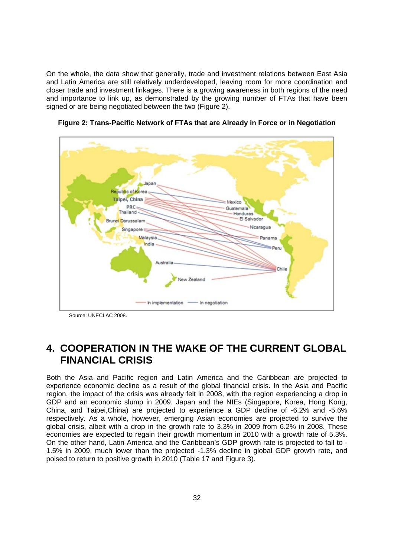On the whole, the data show that generally, trade and investment relations between East Asia and Latin America are still relatively underdeveloped, leaving room for more coordination and closer trade and investment linkages. There is a growing awareness in both regions of the need and importance to link up, as demonstrated by the growing number of FTAs that have been signed or are being negotiated between the two (Figure 2).



**Figure 2: Trans-Pacific Network of FTAs that are Already in Force or in Negotiation** 

**4. COOPERATION IN THE WAKE OF THE CURRENT GLOBAL FINANCIAL CRISIS** 

Both the Asia and Pacific region and Latin America and the Caribbean are projected to experience economic decline as a result of the global financial crisis. In the Asia and Pacific region, the impact of the crisis was already felt in 2008, with the region experiencing a drop in GDP and an economic slump in 2009. Japan and the NIEs (Singapore, Korea, Hong Kong, China, and Taipei,China) are projected to experience a GDP decline of -6.2% and -5.6% respectively. As a whole, however, emerging Asian economies are projected to survive the global crisis, albeit with a drop in the growth rate to 3.3% in 2009 from 6.2% in 2008. These economies are expected to regain their growth momentum in 2010 with a growth rate of 5.3%. On the other hand, Latin America and the Caribbean's GDP growth rate is projected to fall to - 1.5% in 2009, much lower than the projected -1.3% decline in global GDP growth rate, and poised to return to positive growth in 2010 (Table 17 and Figure 3).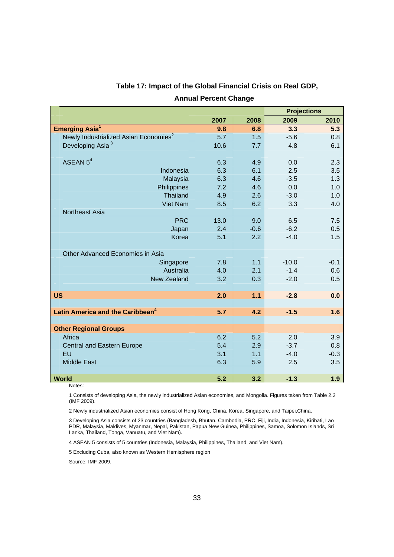|                                                   |      |        | <b>Projections</b> |        |  |
|---------------------------------------------------|------|--------|--------------------|--------|--|
|                                                   | 2007 | 2008   | 2009               | 2010   |  |
| <b>Emerging Asia<sup>1</sup></b>                  | 9.8  | 6.8    | 3.3                | 5.3    |  |
| Newly Industrialized Asian Economies <sup>2</sup> | 5.7  | 1.5    | $-5.6$             | 0.8    |  |
| Developing Asia <sup>3</sup>                      | 10.6 | 7.7    | 4.8                | 6.1    |  |
|                                                   |      |        |                    |        |  |
| ASEAN $5^4$                                       | 6.3  | 4.9    | 0.0                | 2.3    |  |
| Indonesia                                         | 6.3  | 6.1    | 2.5                | 3.5    |  |
| Malaysia                                          | 6.3  | 4.6    | $-3.5$             | 1.3    |  |
| Philippines                                       | 7.2  | 4.6    | 0.0                | 1.0    |  |
| <b>Thailand</b>                                   | 4.9  | 2.6    | $-3.0$             | 1.0    |  |
| Viet Nam                                          | 8.5  | 6.2    | 3.3                | 4.0    |  |
| Northeast Asia                                    |      |        |                    |        |  |
| <b>PRC</b>                                        | 13.0 | 9.0    | 6.5                | 7.5    |  |
| Japan                                             | 2.4  | $-0.6$ | $-6.2$             | 0.5    |  |
| Korea                                             | 5.1  | 2.2    | $-4.0$             | 1.5    |  |
|                                                   |      |        |                    |        |  |
| Other Advanced Economies in Asia                  |      |        |                    |        |  |
| Singapore                                         | 7.8  | 1.1    | $-10.0$            | $-0.1$ |  |
| Australia                                         | 4.0  | 2.1    | $-1.4$             | 0.6    |  |
| <b>New Zealand</b>                                | 3.2  | 0.3    | $-2.0$             | 0.5    |  |
|                                                   |      |        |                    |        |  |
| <b>US</b>                                         | 2.0  | 1.1    | $-2.8$             | 0.0    |  |
|                                                   |      |        |                    |        |  |
| Latin America and the Caribbean <sup>4</sup>      | 5.7  | 4.2    | $-1.5$             | 1.6    |  |
|                                                   |      |        |                    |        |  |
| <b>Other Regional Groups</b>                      |      |        |                    |        |  |
| Africa                                            | 6.2  | 5.2    | 2.0                | 3.9    |  |
| Central and Eastern Europe                        | 5.4  | 2.9    | $-3.7$             | 0.8    |  |
| EU                                                | 3.1  | 1.1    | $-4.0$             | $-0.3$ |  |
| <b>Middle East</b>                                | 6.3  | 5.9    | 2.5                | 3.5    |  |
|                                                   |      |        |                    |        |  |
| World                                             | 5.2  | 3.2    | $-1.3$             | 1.9    |  |

## **Table 17: Impact of the Global Financial Crisis on Real GDP, Annual Percent Change**

Notes:

1 Consists of developing Asia, the newly industrialized Asian economies, and Mongolia. Figures taken from Table 2.2 (IMF 2009).

2 Newly industrialized Asian economies consist of Hong Kong, China, Korea, Singapore, and Taipei,China.

3 Developing Asia consists of 23 countries (Bangladesh, Bhutan, Cambodia, PRC, Fiji, India, Indonesia, Kiribati, Lao PDR, Malaysia, Maldives, Myanmar, Nepal, Pakistan, Papua New Guinea, Philippines, Samoa, Solomon Islands, Sri Lanka, Thailand, Tonga, Vanuatu, and Viet Nam).

4 ASEAN 5 consists of 5 countries (Indonesia, Malaysia, Philippines, Thailand, and Viet Nam).

5 Excluding Cuba, also known as Western Hemisphere region

Source: IMF 2009.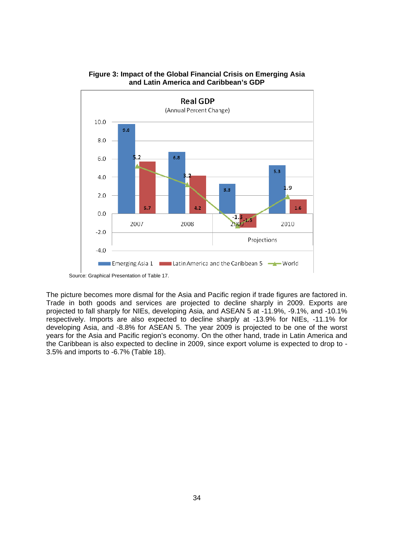

#### **Figure 3: Impact of the Global Financial Crisis on Emerging Asia and Latin America and Caribbean's GDP**

The picture becomes more dismal for the Asia and Pacific region if trade figures are factored in. Trade in both goods and services are projected to decline sharply in 2009. Exports are projected to fall sharply for NIEs, developing Asia, and ASEAN 5 at -11.9%, -9.1%, and -10.1% respectively. Imports are also expected to decline sharply at -13.9% for NIEs, -11.1% for developing Asia, and -8.8% for ASEAN 5. The year 2009 is projected to be one of the worst years for the Asia and Pacific region's economy. On the other hand, trade in Latin America and the Caribbean is also expected to decline in 2009, since export volume is expected to drop to - 3.5% and imports to -6.7% (Table 18).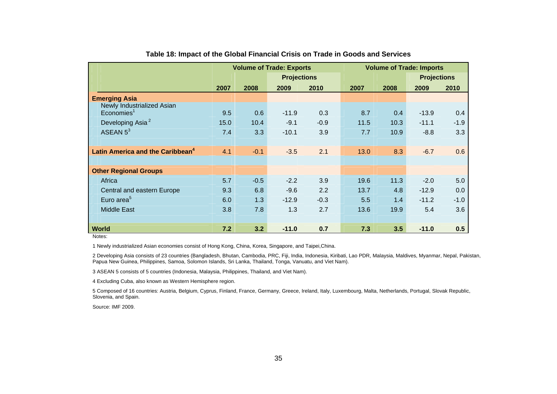|                                                         | <b>Volume of Trade: Exports</b> |        |                    |        | <b>Volume of Trade: Imports</b> |      |      |                    |        |
|---------------------------------------------------------|---------------------------------|--------|--------------------|--------|---------------------------------|------|------|--------------------|--------|
|                                                         |                                 |        | <b>Projections</b> |        |                                 |      |      | <b>Projections</b> |        |
|                                                         | 2007                            | 2008   | 2009               | 2010   |                                 | 2007 | 2008 | 2009               | 2010   |
| <b>Emerging Asia</b>                                    |                                 |        |                    |        |                                 |      |      |                    |        |
| Newly Industrialized Asian<br>$E$ conomies <sup>1</sup> | 9.5                             | 0.6    | $-11.9$            | 0.3    |                                 | 8.7  | 0.4  | $-13.9$            | 0.4    |
| Developing Asia <sup>2</sup>                            | 15.0                            | 10.4   | $-9.1$             | $-0.9$ |                                 | 11.5 | 10.3 | $-11.1$            | $-1.9$ |
| ASEAN $5^3$                                             | 7.4                             | 3.3    | $-10.1$            | 3.9    |                                 | 7.7  | 10.9 | $-8.8$             | 3.3    |
| Latin America and the Caribbean <sup>4</sup>            | 4.1                             | $-0.1$ | $-3.5$             | 2.1    |                                 | 13.0 | 8.3  | $-6.7$             | 0.6    |
| <b>Other Regional Groups</b>                            |                                 |        |                    |        |                                 |      |      |                    |        |
| Africa                                                  | 5.7                             | $-0.5$ | $-2.2$             | 3.9    |                                 | 19.6 | 11.3 | $-2.0$             | 5.0    |
| Central and eastern Europe                              | 9.3                             | 6.8    | $-9.6$             | 2.2    |                                 | 13.7 | 4.8  | $-12.9$            | 0.0    |
| Euro area <sup>5</sup>                                  | 6.0                             | 1.3    | $-12.9$            | $-0.3$ |                                 | 5.5  | 1.4  | $-11.2$            | $-1.0$ |
| <b>Middle East</b>                                      | 3.8                             | 7.8    | 1.3                | 2.7    |                                 | 13.6 | 19.9 | 5.4                | 3.6    |
| <b>World</b><br>Natas:                                  | 7.2                             | 3.2    | $-11.0$            | 0.7    |                                 | 7.3  | 3.5  | $-11.0$            | 0.5    |

#### **Table 18: Impact of the Global Financial Crisis on Trade in Goods and Services**

Notes:

1 Newly industrialized Asian economies consist of Hong Kong, China, Korea, Singapore, and Taipei,China.

2 Developing Asia consists of 23 countries (Bangladesh, Bhutan, Cambodia, PRC, Fiji, India, Indonesia, Kiribati, Lao PDR, Malaysia, Maldives, Myanmar, Nepal, Pakistan, Papua New Guinea, Philippines, Samoa, Solomon Islands, Sri Lanka, Thailand, Tonga, Vanuatu, and Viet Nam).

3 ASEAN 5 consists of 5 countries (Indonesia, Malaysia, Philippines, Thailand, and Viet Nam).

4 Excluding Cuba, also known as Western Hemisphere region.

5 Composed of 16 countries: Austria, Belgium, Cyprus, Finland, France, Germany, Greece, Ireland, Italy, Luxembourg, Malta, Netherlands, Portugal, Slovak Republic, Slovenia, and Spain.

Source: IMF 2009.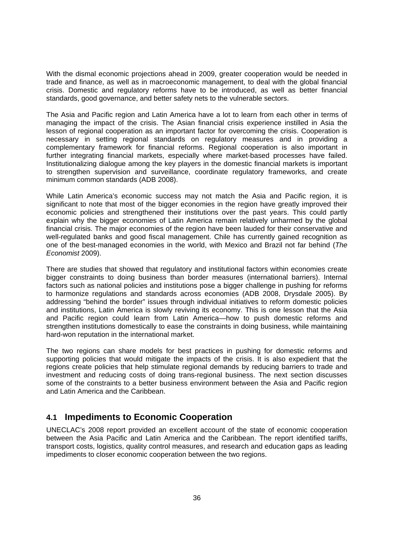With the dismal economic projections ahead in 2009, greater cooperation would be needed in trade and finance, as well as in macroeconomic management, to deal with the global financial crisis. Domestic and regulatory reforms have to be introduced, as well as better financial standards, good governance, and better safety nets to the vulnerable sectors.

The Asia and Pacific region and Latin America have a lot to learn from each other in terms of managing the impact of the crisis. The Asian financial crisis experience instilled in Asia the lesson of regional cooperation as an important factor for overcoming the crisis. Cooperation is necessary in setting regional standards on regulatory measures and in providing a complementary framework for financial reforms. Regional cooperation is also important in further integrating financial markets, especially where market-based processes have failed. Institutionalizing dialogue among the key players in the domestic financial markets is important to strengthen supervision and surveillance, coordinate regulatory frameworks, and create minimum common standards (ADB 2008).

While Latin America's economic success may not match the Asia and Pacific region, it is significant to note that most of the bigger economies in the region have greatly improved their economic policies and strengthened their institutions over the past years. This could partly explain why the bigger economies of Latin America remain relatively unharmed by the global financial crisis. The major economies of the region have been lauded for their conservative and well-regulated banks and good fiscal management. Chile has currently gained recognition as one of the best-managed economies in the world, with Mexico and Brazil not far behind (*The Economist* 2009).

There are studies that showed that regulatory and institutional factors within economies create bigger constraints to doing business than border measures (international barriers). Internal factors such as national policies and institutions pose a bigger challenge in pushing for reforms to harmonize regulations and standards across economies (ADB 2008, Drysdale 2005). By addressing "behind the border" issues through individual initiatives to reform domestic policies and institutions, Latin America is slowly reviving its economy. This is one lesson that the Asia and Pacific region could learn from Latin America—how to push domestic reforms and strengthen institutions domestically to ease the constraints in doing business, while maintaining hard-won reputation in the international market.

The two regions can share models for best practices in pushing for domestic reforms and supporting policies that would mitigate the impacts of the crisis. It is also expedient that the regions create policies that help stimulate regional demands by reducing barriers to trade and investment and reducing costs of doing trans-regional business. The next section discusses some of the constraints to a better business environment between the Asia and Pacific region and Latin America and the Caribbean.

### **4.1 Impediments to Economic Cooperation**

UNECLAC's 2008 report provided an excellent account of the state of economic cooperation between the Asia Pacific and Latin America and the Caribbean. The report identified tariffs, transport costs, logistics, quality control measures, and research and education gaps as leading impediments to closer economic cooperation between the two regions.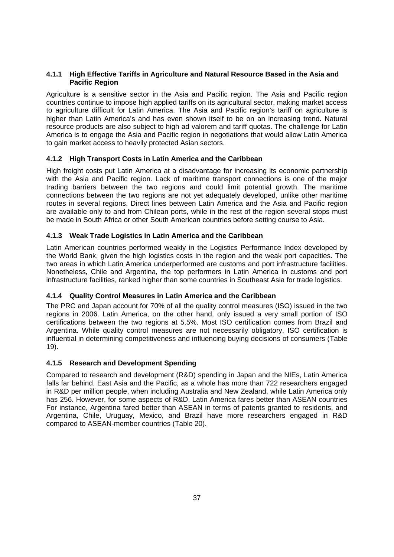#### **4.1.1 High Effective Tariffs in Agriculture and Natural Resource Based in the Asia and Pacific Region**

Agriculture is a sensitive sector in the Asia and Pacific region. The Asia and Pacific region countries continue to impose high applied tariffs on its agricultural sector, making market access to agriculture difficult for Latin America. The Asia and Pacific region's tariff on agriculture is higher than Latin America's and has even shown itself to be on an increasing trend. Natural resource products are also subject to high ad valorem and tariff quotas. The challenge for Latin America is to engage the Asia and Pacific region in negotiations that would allow Latin America to gain market access to heavily protected Asian sectors.

#### **4.1.2 High Transport Costs in Latin America and the Caribbean**

High freight costs put Latin America at a disadvantage for increasing its economic partnership with the Asia and Pacific region. Lack of maritime transport connections is one of the major trading barriers between the two regions and could limit potential growth. The maritime connections between the two regions are not yet adequately developed, unlike other maritime routes in several regions. Direct lines between Latin America and the Asia and Pacific region are available only to and from Chilean ports, while in the rest of the region several stops must be made in South Africa or other South American countries before setting course to Asia.

#### **4.1.3 Weak Trade Logistics in Latin America and the Caribbean**

Latin American countries performed weakly in the Logistics Performance Index developed by the World Bank, given the high logistics costs in the region and the weak port capacities. The two areas in which Latin America underperformed are customs and port infrastructure facilities. Nonetheless, Chile and Argentina, the top performers in Latin America in customs and port infrastructure facilities, ranked higher than some countries in Southeast Asia for trade logistics.

#### **4.1.4 Quality Control Measures in Latin America and the Caribbean**

The PRC and Japan account for 70% of all the quality control measures (ISO) issued in the two regions in 2006. Latin America, on the other hand, only issued a very small portion of ISO certifications between the two regions at 5.5%. Most ISO certification comes from Brazil and Argentina. While quality control measures are not necessarily obligatory, ISO certification is influential in determining competitiveness and influencing buying decisions of consumers (Table 19).

#### **4.1.5 Research and Development Spending**

Compared to research and development (R&D) spending in Japan and the NIEs, Latin America falls far behind. East Asia and the Pacific, as a whole has more than 722 researchers engaged in R&D per million people, when including Australia and New Zealand, while Latin America only has 256. However, for some aspects of R&D, Latin America fares better than ASEAN countries For instance, Argentina fared better than ASEAN in terms of patents granted to residents, and Argentina, Chile, Uruguay, Mexico, and Brazil have more researchers engaged in R&D compared to ASEAN-member countries (Table 20).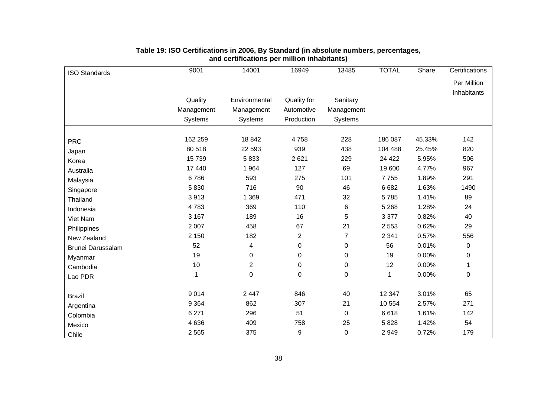| <b>ISO Standards</b> | 9001       | 14001            | 16949          | 13485          | <b>TOTAL</b> | Share  | Certifications |
|----------------------|------------|------------------|----------------|----------------|--------------|--------|----------------|
|                      |            |                  |                |                |              |        | Per Million    |
|                      |            |                  |                |                |              |        | Inhabitants    |
|                      | Quality    | Environmental    | Quality for    | Sanitary       |              |        |                |
|                      | Management | Management       | Automotive     | Management     |              |        |                |
|                      | Systems    | Systems          | Production     | <b>Systems</b> |              |        |                |
|                      | 162 259    | 18 842           | 4758           | 228            | 186 087      | 45.33% | 142            |
| <b>PRC</b>           | 80 518     | 22 593           | 939            | 438            | 104 488      | 25.45% | 820            |
| Japan                | 15739      | 5833             | 2621           | 229            | 24 4 22      | 5.95%  | 506            |
| Korea                | 17 440     | 1 9 6 4          | 127            | 69             | 19 600       | 4.77%  | 967            |
| Australia            | 6786       | 593              | 275            | 101            | 7755         |        | 291            |
| Malaysia             |            |                  |                |                |              | 1.89%  |                |
| Singapore            | 5830       | 716              | 90             | 46             | 6682         | 1.63%  | 1490           |
| Thailand             | 3913       | 1 3 6 9          | 471            | 32             | 5785         | 1.41%  | 89             |
| Indonesia            | 4783       | 369              | 110            | 6              | 5 2 6 8      | 1.28%  | 24             |
| Viet Nam             | 3 1 6 7    | 189              | 16             | 5              | 3 3 7 7      | 0.82%  | 40             |
| Philippines          | 2 0 0 7    | 458              | 67             | 21             | 2 5 5 3      | 0.62%  | 29             |
| New Zealand          | 2 1 5 0    | 182              | $\overline{2}$ | 7              | 2 3 4 1      | 0.57%  | 556            |
| Brunei Darussalam    | 52         | 4                | 0              | 0              | 56           | 0.01%  | 0              |
| Myanmar              | 19         | $\boldsymbol{0}$ | 0              | 0              | 19           | 0.00%  | $\pmb{0}$      |
| Cambodia             | 10         | $\overline{2}$   | 0              | 0              | 12           | 0.00%  | 1              |
| Lao PDR              |            | $\pmb{0}$        | 0              | 0              | 1            | 0.00%  | 0              |
| <b>Brazil</b>        | 9014       | 2 4 4 7          | 846            | 40             | 12 347       | 3.01%  | 65             |
| Argentina            | 9 3 6 4    | 862              | 307            | 21             | 10 554       | 2.57%  | 271            |
| Colombia             | 6 2 7 1    | 296              | 51             | 0              | 6618         | 1.61%  | 142            |
| Mexico               | 4 6 3 6    | 409              | 758            | 25             | 5828         | 1.42%  | 54             |
| Chile                | 2 5 6 5    | 375              | 9              | 0              | 2949         | 0.72%  | 179            |

#### **Table 19: ISO Certifications in 2006, By Standard (in absolute numbers, percentages, and certifications per million inhabitants)**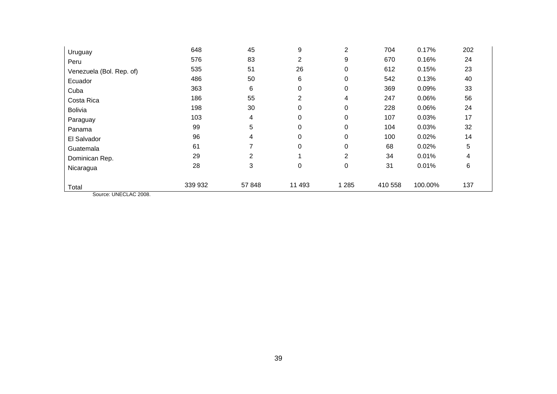| Uruguay                  | 648     | 45             | 9        | 2        | 704     | 0.17%   | 202 |
|--------------------------|---------|----------------|----------|----------|---------|---------|-----|
| Peru                     | 576     | 83             | 2        | 9        | 670     | 0.16%   | 24  |
| Venezuela (Bol. Rep. of) | 535     | 51             | 26       | 0        | 612     | 0.15%   | 23  |
| Ecuador                  | 486     | 50             | 6        | 0        | 542     | 0.13%   | 40  |
| Cuba                     | 363     | 6              | 0        | 0        | 369     | 0.09%   | 33  |
| Costa Rica               | 186     | 55             | 2        | 4        | 247     | 0.06%   | 56  |
| <b>Bolivia</b>           | 198     | 30             | 0        | 0        | 228     | 0.06%   | 24  |
| Paraguay                 | 103     | 4              | 0        | 0        | 107     | 0.03%   | 17  |
| Panama                   | 99      | 5              | 0        | 0        | 104     | 0.03%   | 32  |
| El Salvador              | 96      | 4              | $\Omega$ | $\Omega$ | 100     | 0.02%   | 14  |
| Guatemala                | 61      |                | $\Omega$ | 0        | 68      | 0.02%   | 5   |
| Dominican Rep.           | 29      | $\overline{2}$ |          | 2        | 34      | 0.01%   | 4   |
| Nicaragua                | 28      | 3              | 0        | 0        | 31      | 0.01%   | 6   |
| Total                    | 339 932 | 57 848         | 11 493   | 1 2 8 5  | 410 558 | 100.00% | 137 |

Source: UNECLAC 2008.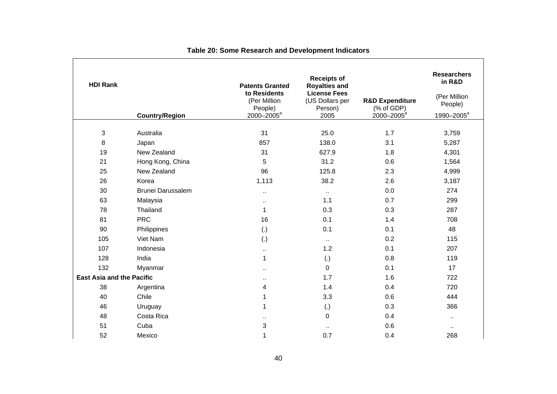| <b>HDI Rank</b>                  | <b>Country/Region</b>    | <b>Patents Granted</b><br>to Residents<br>(Per Million<br>People)<br>2000-2005 <sup>a</sup> | <b>Receipts of</b><br><b>Royalties and</b><br><b>License Fees</b><br>(US Dollars per<br>Person)<br>2005 | <b>R&amp;D Expenditure</b><br>$(% )^{2}(x)$ of GDP)<br>2000-2005 <sup>a</sup> | <b>Researchers</b><br>in R&D<br>(Per Million<br>People)<br>1990-2005 <sup>a</sup> |
|----------------------------------|--------------------------|---------------------------------------------------------------------------------------------|---------------------------------------------------------------------------------------------------------|-------------------------------------------------------------------------------|-----------------------------------------------------------------------------------|
| 3                                | Australia                | 31                                                                                          | 25.0                                                                                                    | 1.7                                                                           | 3,759                                                                             |
| 8                                | Japan                    | 857                                                                                         | 138.0                                                                                                   | 3.1                                                                           | 5,287                                                                             |
| 19                               | New Zealand              | 31                                                                                          | 627.9                                                                                                   | 1.8                                                                           | 4,301                                                                             |
| 21                               | Hong Kong, China         | 5                                                                                           | 31.2                                                                                                    | 0.6                                                                           | 1,564                                                                             |
| 25                               | New Zealand              | 96                                                                                          | 125.8                                                                                                   | 2.3                                                                           | 4,999                                                                             |
| 26                               | Korea                    | 1,113                                                                                       | 38.2                                                                                                    | 2.6                                                                           | 3,187                                                                             |
| 30                               | <b>Brunei Darussalem</b> |                                                                                             | $\ddot{\phantom{1}}$                                                                                    | 0.0                                                                           | 274                                                                               |
| 63                               | Malaysia                 | н.                                                                                          | 1.1                                                                                                     | 0.7                                                                           | 299                                                                               |
| 78                               | Thailand                 | $\mathbf 1$                                                                                 | 0.3                                                                                                     | 0.3                                                                           | 287                                                                               |
| 81                               | <b>PRC</b>               | 16                                                                                          | 0.1                                                                                                     | 1.4                                                                           | 708                                                                               |
| 90                               | Philippines              | $\left( .\right)$                                                                           | 0.1                                                                                                     | 0.1                                                                           | 48                                                                                |
| 105                              | Viet Nam                 | (.)                                                                                         | $\sim$                                                                                                  | 0.2                                                                           | 115                                                                               |
| 107                              | Indonesia                | $\ddotsc$                                                                                   | 1.2                                                                                                     | 0.1                                                                           | 207                                                                               |
| 128                              | India                    | 1                                                                                           | (.)                                                                                                     | 0.8                                                                           | 119                                                                               |
| 132                              | Myanmar                  | Ω,                                                                                          | 0                                                                                                       | 0.1                                                                           | 17                                                                                |
| <b>East Asia and the Pacific</b> |                          | $\ddot{\phantom{a}}$                                                                        | 1.7                                                                                                     | 1.6                                                                           | 722                                                                               |
| 38                               | Argentina                | 4                                                                                           | 1.4                                                                                                     | 0.4                                                                           | 720                                                                               |
| 40                               | Chile                    | 1                                                                                           | 3.3                                                                                                     | 0.6                                                                           | 444                                                                               |
| 46                               | Uruguay                  | 1                                                                                           | (.)                                                                                                     | 0.3                                                                           | 366                                                                               |
| 48                               | Costa Rica               | ٠.                                                                                          | 0                                                                                                       | 0.4                                                                           | $\ddot{\phantom{1}}$                                                              |
| 51                               | Cuba                     | 3                                                                                           | $\ddot{\phantom{1}}$                                                                                    | 0.6                                                                           | $\ddot{\phantom{1}}$                                                              |
| 52                               | Mexico                   | 1                                                                                           | 0.7                                                                                                     | 0.4                                                                           | 268                                                                               |

## **Table 20: Some Research and Development Indicators**

ř.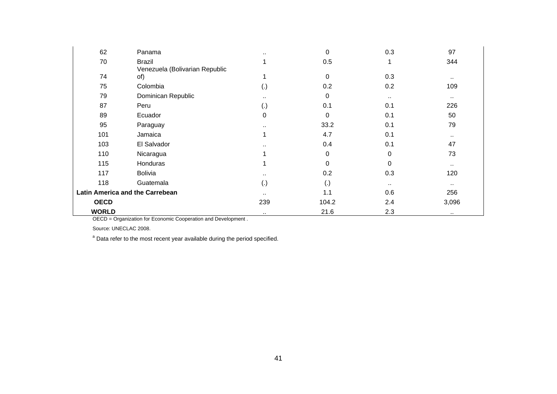| 62           | Panama                                          | $\cdots$    | $\pmb{0}$          | 0.3      | 97            |
|--------------|-------------------------------------------------|-------------|--------------------|----------|---------------|
| 70           | <b>Brazil</b><br>Venezuela (Bolivarian Republic | 1           | 0.5                | 1        | 344           |
| 74           | of)                                             | 1           | 0                  | 0.3      | $\sim$        |
| 75           | Colombia                                        | (.)         | 0.2                | 0.2      | 109           |
| 79           | Dominican Republic                              | $\sim$      | 0                  | $\cdots$ | $\sim$        |
| 87           | Peru                                            | (.)         | 0.1                | 0.1      | 226           |
| 89           | Ecuador                                         | $\mathbf 0$ | 0                  | 0.1      | 50            |
| 95           | Paraguay                                        | $\cdots$    | 33.2               | 0.1      | 79            |
| 101          | Jamaica                                         | 1           | 4.7                | 0.1      | $\sim$ $\sim$ |
| 103          | El Salvador                                     | $\cdot$ .   | 0.4                | 0.1      | 47            |
| 110          | Nicaragua                                       |             | 0                  | 0        | 73            |
| 115          | Honduras                                        | 1           | 0                  | 0        | $\sim$        |
| 117          | <b>Bolivia</b>                                  | ٠.          | 0.2                | 0.3      | 120           |
| 118          | Guatemala                                       | (.)         | $\left( . \right)$ | $\cdots$ | $\sim$        |
|              | Latin America and the Carrebean                 |             | 1.1                | 0.6      | 256           |
| <b>OECD</b>  |                                                 | 239         | 104.2              | 2.4      | 3,096         |
| <b>WORLD</b> |                                                 | $\cdots$    | 21.6               | 2.3      | $\cdots$      |

OECD = Organization for Economic Cooperation and Development .

Source: UNECLAC 2008.

 $a$  Data refer to the most recent year available during the period specified.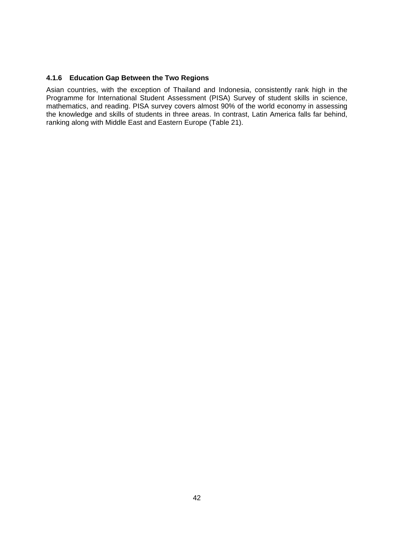#### **4.1.6 Education Gap Between the Two Regions**

Asian countries, with the exception of Thailand and Indonesia, consistently rank high in the Programme for International Student Assessment (PISA) Survey of student skills in science, mathematics, and reading. PISA survey covers almost 90% of the world economy in assessing the knowledge and skills of students in three areas. In contrast, Latin America falls far behind, ranking along with Middle East and Eastern Europe (Table 21).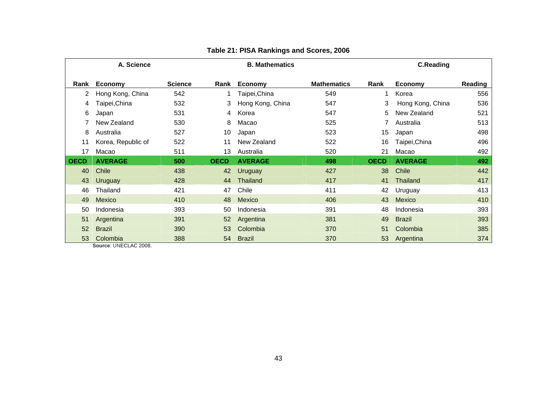| A. Science  |                    |                | <b>B. Mathematics</b> |                  |                    | <b>C.Reading</b> |                  |         |
|-------------|--------------------|----------------|-----------------------|------------------|--------------------|------------------|------------------|---------|
| Rank        | Economy            | <b>Science</b> | Rank                  | <b>Economy</b>   | <b>Mathematics</b> | Rank             | <b>Economy</b>   | Reading |
|             | Hong Kong, China   | 542            |                       | Taipei,China     | 549                | 1                | Korea            | 556     |
| 4           | Taipei,China       | 532            | 3                     | Hong Kong, China | 547                | 3                | Hong Kong, China | 536     |
| 6           | Japan              | 531            | 4                     | Korea            | 547                | 5                | New Zealand      | 521     |
|             | New Zealand        | 530            | 8                     | Macao            | 525                |                  | Australia        | 513     |
| 8           | Australia          | 527            | 10                    | Japan            | 523                | 15               | Japan            | 498     |
| 11          | Korea, Republic of | 522            | 11                    | New Zealand      | 522                | 16               | Taipei, China    | 496     |
| 17          | Macao              | 511            | 13                    | Australia        | 520                | 21               | Macao            | 492     |
| <b>OECD</b> | <b>AVERAGE</b>     | 500            | <b>OECD</b>           | <b>AVERAGE</b>   | 498                | <b>OECD</b>      | <b>AVERAGE</b>   | 492     |
| 40          | Chile              | 438            | 42                    | <b>Uruguay</b>   | 427                | 38               | <b>Chile</b>     | 442     |
| 43          | <b>Uruguay</b>     | 428            | 44                    | Thailand         | 417                | 41               | Thailand         | 417     |
| 46          | Thailand           | 421            | 47                    | Chile            | 411                | 42               | Uruguay          | 413     |
| 49          | Mexico             | 410            | 48                    | Mexico           | 406                | 43               | <b>Mexico</b>    | 410     |
| 50          | Indonesia          | 393            | 50                    | Indonesia        | 391                | 48               | Indonesia        | 393     |
| 51          | Argentina          | 391            | 52                    | Argentina        | 381                | 49               | <b>Brazil</b>    | 393     |
| 52          | <b>Brazil</b>      | 390            | 53                    | Colombia         | 370                | 51               | Colombia         | 385     |
| 53          | Colombia           | 388            | 54                    | <b>Brazil</b>    | 370                | 53               | Argentina        | 374     |

### **Table 21: PISA Rankings and Scores, 2006**

**Source**: UNECLAC 2008.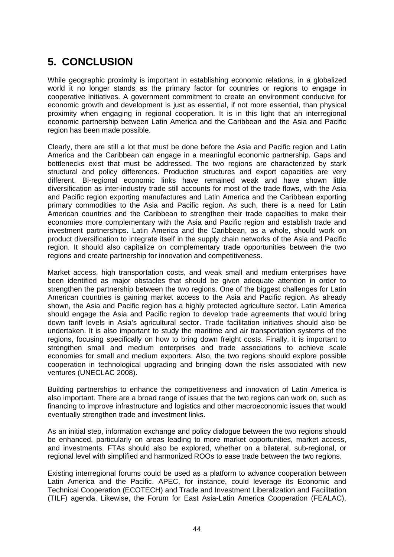# **5. CONCLUSION**

While geographic proximity is important in establishing economic relations, in a globalized world it no longer stands as the primary factor for countries or regions to engage in cooperative initiatives. A government commitment to create an environment conducive for economic growth and development is just as essential, if not more essential, than physical proximity when engaging in regional cooperation. It is in this light that an interregional economic partnership between Latin America and the Caribbean and the Asia and Pacific region has been made possible.

Clearly, there are still a lot that must be done before the Asia and Pacific region and Latin America and the Caribbean can engage in a meaningful economic partnership. Gaps and bottlenecks exist that must be addressed. The two regions are characterized by stark structural and policy differences. Production structures and export capacities are very different. Bi-regional economic links have remained weak and have shown little diversification as inter-industry trade still accounts for most of the trade flows, with the Asia and Pacific region exporting manufactures and Latin America and the Caribbean exporting primary commodities to the Asia and Pacific region. As such, there is a need for Latin American countries and the Caribbean to strengthen their trade capacities to make their economies more complementary with the Asia and Pacific region and establish trade and investment partnerships. Latin America and the Caribbean, as a whole, should work on product diversification to integrate itself in the supply chain networks of the Asia and Pacific region. It should also capitalize on complementary trade opportunities between the two regions and create partnership for innovation and competitiveness.

Market access, high transportation costs, and weak small and medium enterprises have been identified as major obstacles that should be given adequate attention in order to strengthen the partnership between the two regions. One of the biggest challenges for Latin American countries is gaining market access to the Asia and Pacific region. As already shown, the Asia and Pacific region has a highly protected agriculture sector. Latin America should engage the Asia and Pacific region to develop trade agreements that would bring down tariff levels in Asia's agricultural sector. Trade facilitation initiatives should also be undertaken. It is also important to study the maritime and air transportation systems of the regions, focusing specifically on how to bring down freight costs. Finally, it is important to strengthen small and medium enterprises and trade associations to achieve scale economies for small and medium exporters. Also, the two regions should explore possible cooperation in technological upgrading and bringing down the risks associated with new ventures (UNECLAC 2008).

Building partnerships to enhance the competitiveness and innovation of Latin America is also important. There are a broad range of issues that the two regions can work on, such as financing to improve infrastructure and logistics and other macroeconomic issues that would eventually strengthen trade and investment links.

As an initial step, information exchange and policy dialogue between the two regions should be enhanced, particularly on areas leading to more market opportunities, market access, and investments. FTAs should also be explored, whether on a bilateral, sub-regional, or regional level with simplified and harmonized ROOs to ease trade between the two regions.

Existing interregional forums could be used as a platform to advance cooperation between Latin America and the Pacific. APEC, for instance, could leverage its Economic and Technical Cooperation (ECOTECH) and Trade and Investment Liberalization and Facilitation (TILF) agenda. Likewise, the Forum for East Asia-Latin America Cooperation (FEALAC),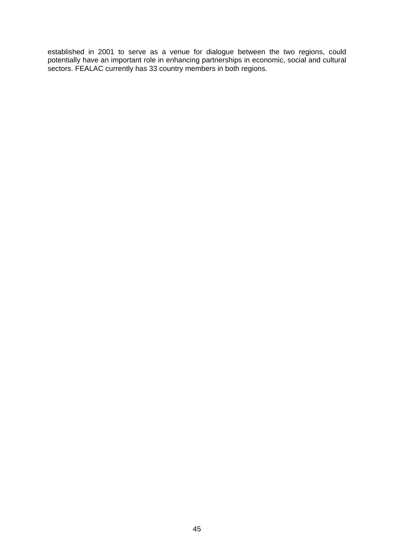established in 2001 to serve as a venue for dialogue between the two regions, could potentially have an important role in enhancing partnerships in economic, social and cultural sectors. FEALAC currently has 33 country members in both regions.